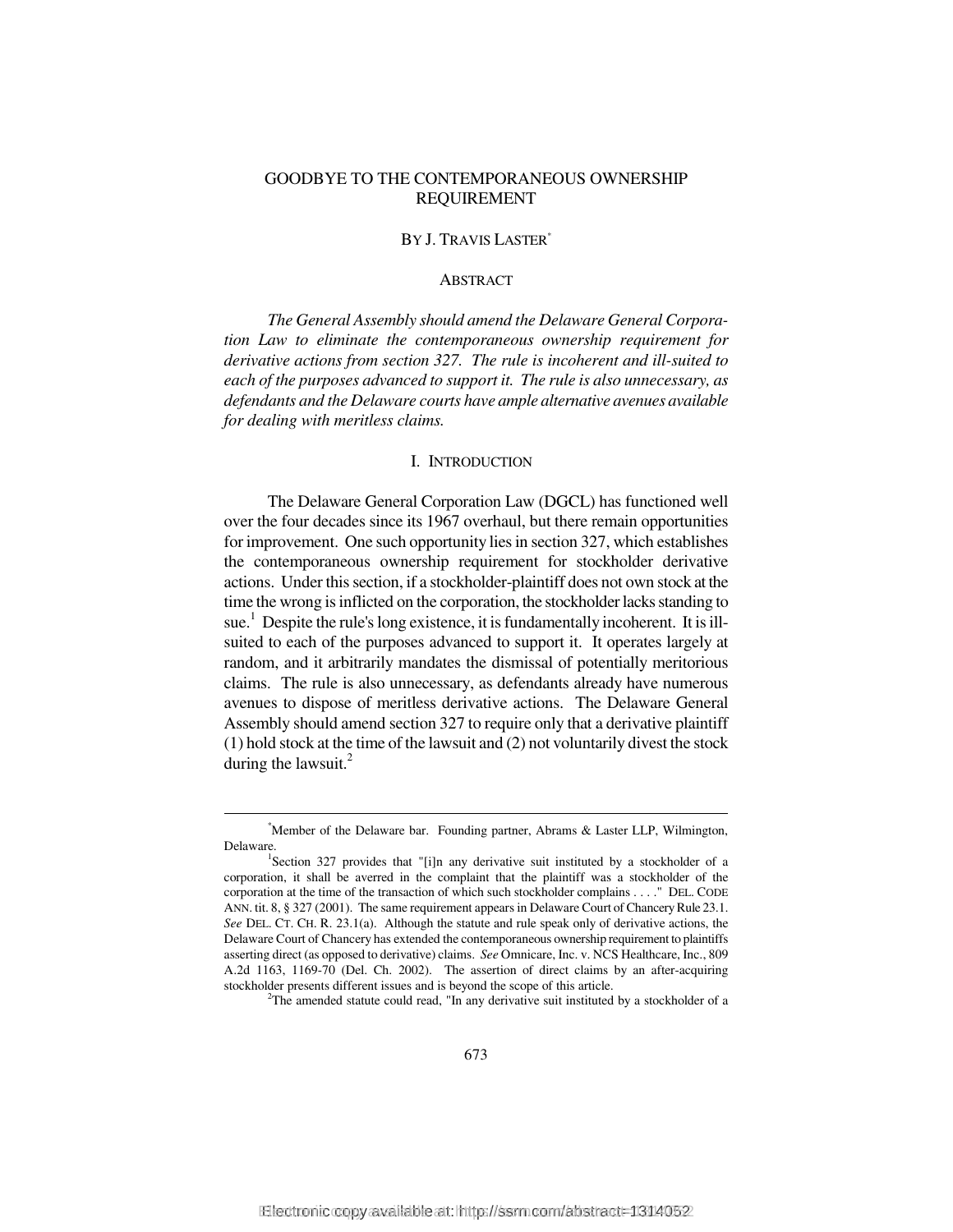# GOODBYE TO THE CONTEMPORANEOUS OWNERSHIP REQUIREMENT

### BY J. TRAVIS LASTER\*

#### **ABSTRACT**

*The General Assembly should amend the Delaware General Corporation Law to eliminate the contemporaneous ownership requirement for derivative actions from section 327. The rule is incoherent and ill-suited to each of the purposes advanced to support it. The rule is also unnecessary, as defendants and the Delaware courts have ample alternative avenues available for dealing with meritless claims.* 

### I. INTRODUCTION

The Delaware General Corporation Law (DGCL) has functioned well over the four decades since its 1967 overhaul, but there remain opportunities for improvement. One such opportunity lies in section 327, which establishes the contemporaneous ownership requirement for stockholder derivative actions. Under this section, if a stockholder-plaintiff does not own stock at the time the wrong is inflicted on the corporation, the stockholder lacks standing to sue. 1 Despite the rule's long existence, it is fundamentally incoherent. It is illsuited to each of the purposes advanced to support it. It operates largely at random, and it arbitrarily mandates the dismissal of potentially meritorious claims. The rule is also unnecessary, as defendants already have numerous avenues to dispose of meritless derivative actions. The Delaware General Assembly should amend section 327 to require only that a derivative plaintiff (1) hold stock at the time of the lawsuit and (2) not voluntarily divest the stock during the lawsuit. $^{2}$ 

<sup>&</sup>lt;u>\*</u> Member of the Delaware bar. Founding partner, Abrams & Laster LLP, Wilmington, Delaware.

<sup>&</sup>lt;sup>1</sup>Section 327 provides that "[i]n any derivative suit instituted by a stockholder of a corporation, it shall be averred in the complaint that the plaintiff was a stockholder of the corporation at the time of the transaction of which such stockholder complains . . . ." DEL. CODE ANN. tit. 8, § 327 (2001). The same requirement appears in Delaware Court of Chancery Rule 23.1. *See* DEL. CT. CH. R. 23.1(a). Although the statute and rule speak only of derivative actions, the Delaware Court of Chancery has extended the contemporaneous ownership requirement to plaintiffs asserting direct (as opposed to derivative) claims. *See* Omnicare, Inc. v. NCS Healthcare, Inc., 809 A.2d 1163, 1169-70 (Del. Ch. 2002). The assertion of direct claims by an after-acquiring stockholder presents different issues and is beyond the scope of this article. 2

<sup>&</sup>lt;sup>2</sup>The amended statute could read, "In any derivative suit instituted by a stockholder of a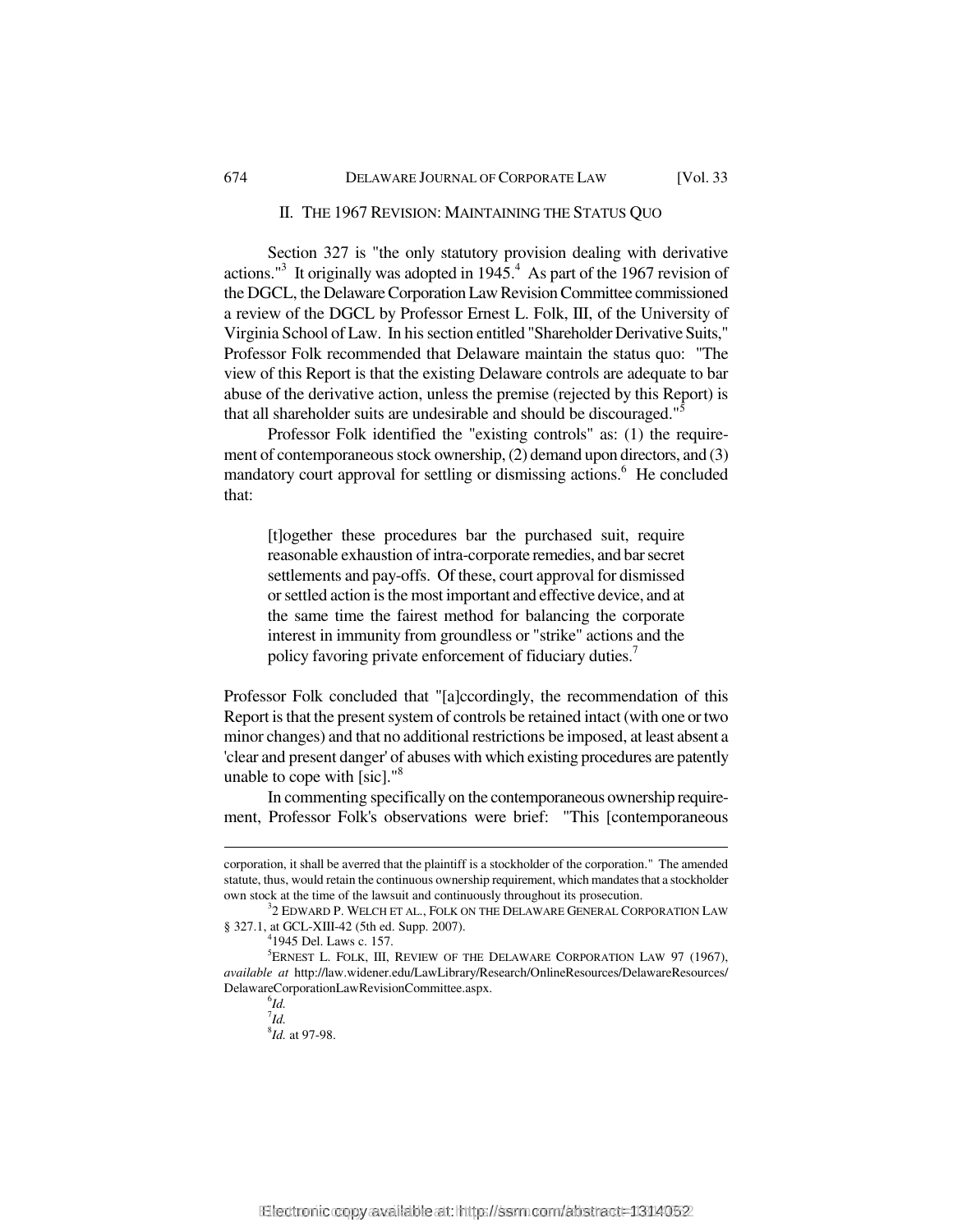#### II. THE 1967 REVISION: MAINTAINING THE STATUS QUO

Section 327 is "the only statutory provision dealing with derivative actions."<sup>3</sup> It originally was adopted in  $1945<sup>4</sup>$ . As part of the 1967 revision of the DGCL, the Delaware Corporation Law Revision Committee commissioned a review of the DGCL by Professor Ernest L. Folk, III, of the University of Virginia School of Law. In his section entitled "Shareholder Derivative Suits," Professor Folk recommended that Delaware maintain the status quo: "The view of this Report is that the existing Delaware controls are adequate to bar abuse of the derivative action, unless the premise (rejected by this Report) is that all shareholder suits are undesirable and should be discouraged."5

Professor Folk identified the "existing controls" as: (1) the requirement of contemporaneous stock ownership, (2) demand upon directors, and (3) mandatory court approval for settling or dismissing actions.<sup>6</sup> He concluded that:

[t]ogether these procedures bar the purchased suit, require reasonable exhaustion of intra-corporate remedies, and bar secret settlements and pay-offs. Of these, court approval for dismissed or settled action is the most important and effective device, and at the same time the fairest method for balancing the corporate interest in immunity from groundless or "strike" actions and the policy favoring private enforcement of fiduciary duties.<sup>7</sup>

Professor Folk concluded that "[a]ccordingly, the recommendation of this Report is that the present system of controls be retained intact (with one or two minor changes) and that no additional restrictions be imposed, at least absent a 'clear and present danger' of abuses with which existing procedures are patently unable to cope with  $[sic]$ ."<sup>8</sup>

In commenting specifically on the contemporaneous ownership requirement, Professor Folk's observations were brief: "This [contemporaneous

-

corporation, it shall be averred that the plaintiff is a stockholder of the corporation." The amended statute, thus, would retain the continuous ownership requirement, which mandates that a stockholder own stock at the time of the lawsuit and continuously throughout its prosecution.

 $^{3}$ 2 EDWARD P. WELCH ET AL., FOLK ON THE DELAWARE GENERAL CORPORATION LAW § 327.1, at GCL-XIII-42 (5th ed. Supp. 2007).

 $^{4}$ 1945 Del. Laws c. 157.

<sup>5</sup> ERNEST L. FOLK, III, REVIEW OF THE DELAWARE CORPORATION LAW 97 (1967), *available at* http://law.widener.edu/LawLibrary/Research/OnlineResources/DelawareResources/ DelawareCorporationLawRevisionCommittee.aspx. 6

 $^{6}$ *Id.* 7 *Id.*

<sup>8</sup> *Id.* at 97-98.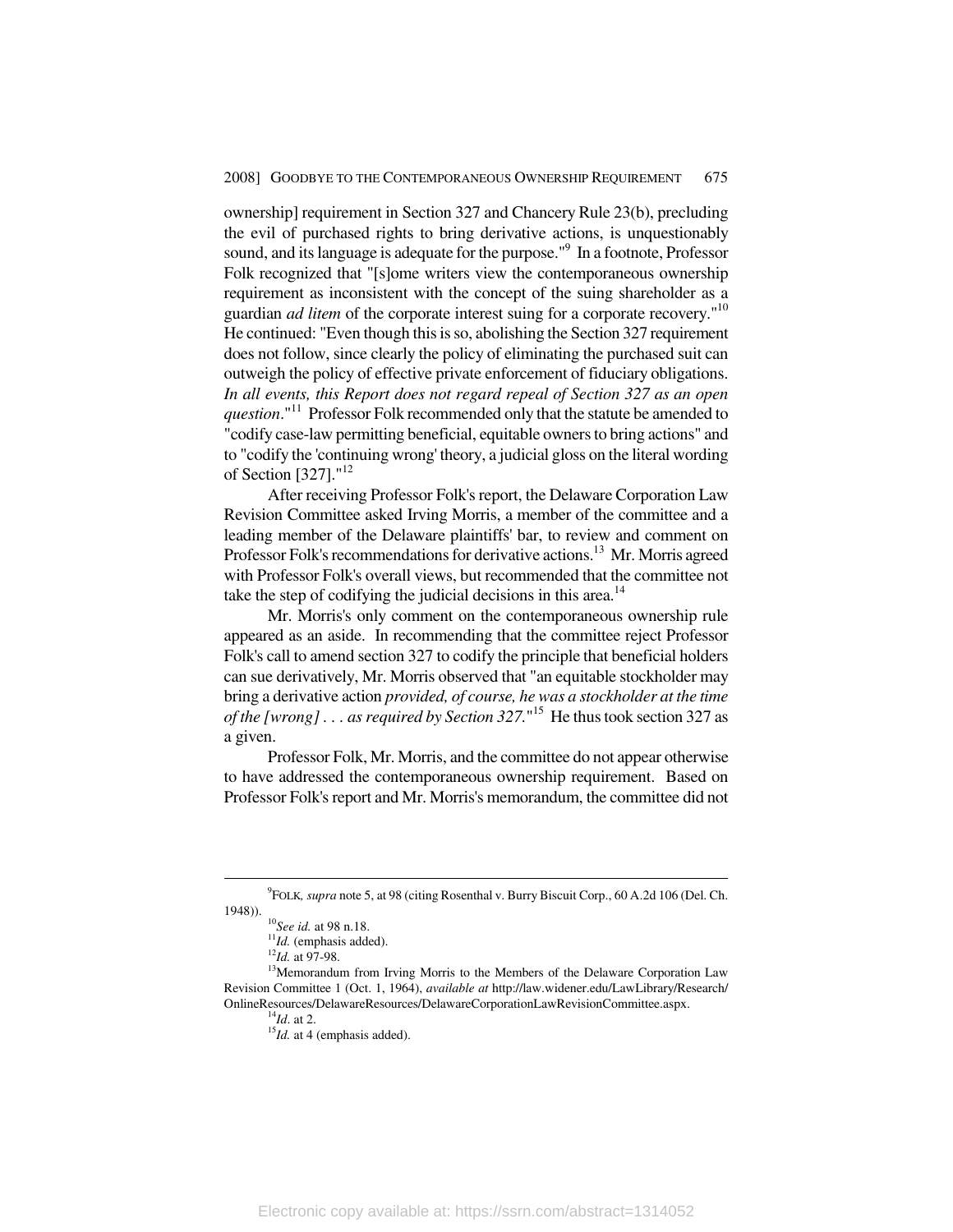ownership] requirement in Section 327 and Chancery Rule 23(b), precluding the evil of purchased rights to bring derivative actions, is unquestionably sound, and its language is adequate for the purpose."<sup>9</sup> In a footnote, Professor Folk recognized that "[s]ome writers view the contemporaneous ownership requirement as inconsistent with the concept of the suing shareholder as a guardian *ad litem* of the corporate interest suing for a corporate recovery."10 He continued: "Even though this is so, abolishing the Section 327 requirement does not follow, since clearly the policy of eliminating the purchased suit can outweigh the policy of effective private enforcement of fiduciary obligations. *In all events, this Report does not regard repeal of Section 327 as an open question*."11 Professor Folk recommended only that the statute be amended to "codify case-law permitting beneficial, equitable owners to bring actions" and to "codify the 'continuing wrong' theory, a judicial gloss on the literal wording of Section [327]."12

After receiving Professor Folk's report, the Delaware Corporation Law Revision Committee asked Irving Morris, a member of the committee and a leading member of the Delaware plaintiffs' bar, to review and comment on Professor Folk's recommendations for derivative actions.<sup>13</sup> Mr. Morris agreed with Professor Folk's overall views, but recommended that the committee not take the step of codifying the judicial decisions in this area.<sup>14</sup>

Mr. Morris's only comment on the contemporaneous ownership rule appeared as an aside. In recommending that the committee reject Professor Folk's call to amend section 327 to codify the principle that beneficial holders can sue derivatively, Mr. Morris observed that "an equitable stockholder may bring a derivative action *provided, of course, he was a stockholder at the time of the [wrong] . . . as required by Section 327.*" 15 He thus took section 327 as a given.

Professor Folk, Mr. Morris, and the committee do not appear otherwise to have addressed the contemporaneous ownership requirement. Based on Professor Folk's report and Mr. Morris's memorandum, the committee did not

 $\frac{1}{\sqrt{9}}$ FOLK*, supra* note 5, at 98 (citing Rosenthal v. Burry Biscuit Corp., 60 A.2d 106 (Del. Ch. 1948)).<br><sup>11</sup>*Id.* (emphasis added).<br><sup>12</sup>*Id.* at 97-98.<br><sup>13</sup>Memorandum from Irving Morris to the Members of the Delaware Corporation Law

Revision Committee 1 (Oct. 1, 1964), *available at* http://law.widener.edu/LawLibrary/Research/ OnlineResources/DelawareResources/DelawareCorporationLawRevisionCommittee.aspx. 14*Id*. at 2. <sup>15</sup>*Id.* at 4 (emphasis added).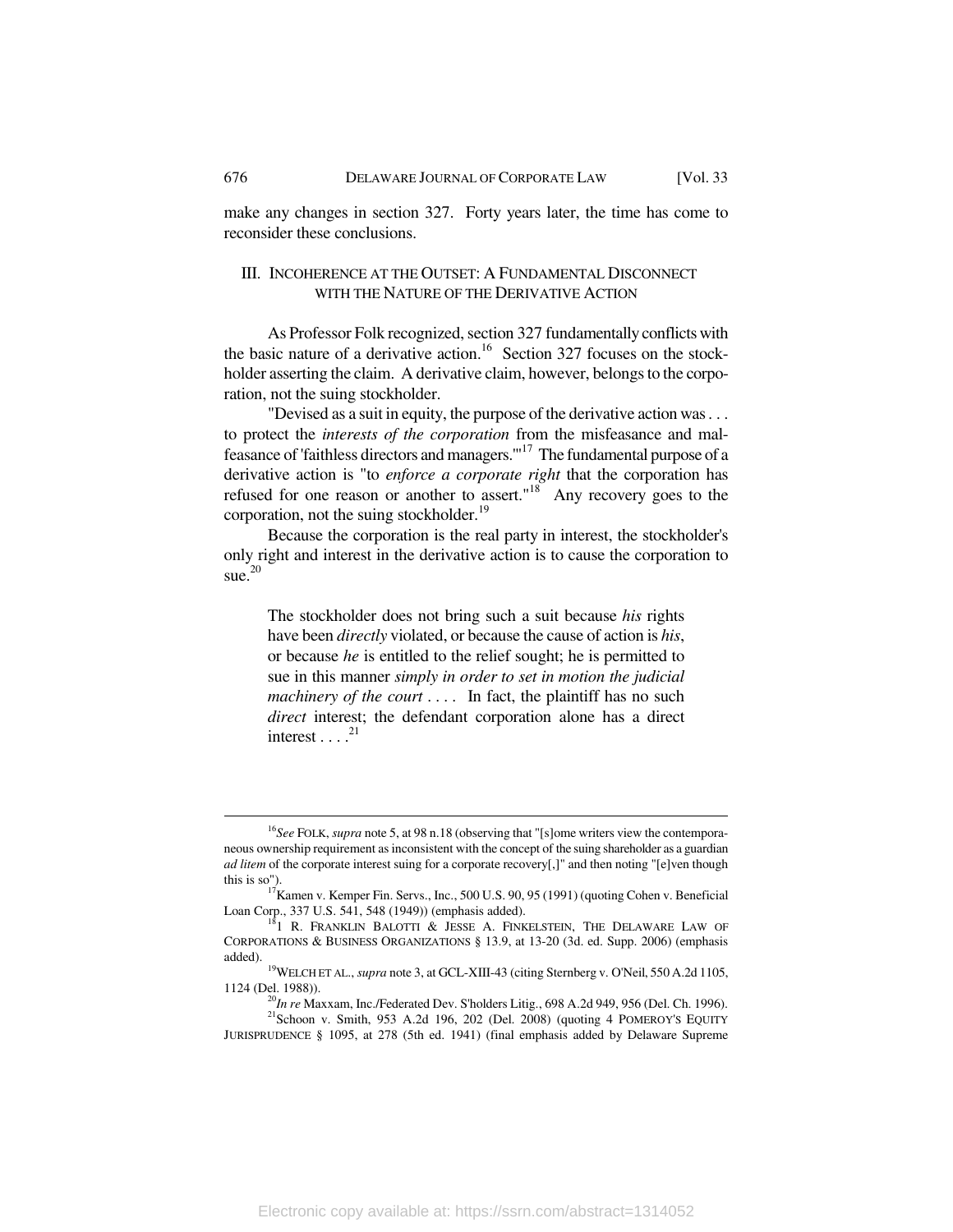make any changes in section 327. Forty years later, the time has come to reconsider these conclusions.

## III. INCOHERENCE AT THE OUTSET: A FUNDAMENTAL DISCONNECT WITH THE NATURE OF THE DERIVATIVE ACTION

As Professor Folk recognized, section 327 fundamentally conflicts with the basic nature of a derivative action.<sup>16</sup> Section 327 focuses on the stockholder asserting the claim. A derivative claim, however, belongs to the corporation, not the suing stockholder.

"Devised as a suit in equity, the purpose of the derivative action was . . . to protect the *interests of the corporation* from the misfeasance and malfeasance of 'faithless directors and managers.'"17 The fundamental purpose of a derivative action is "to *enforce a corporate right* that the corporation has refused for one reason or another to assert."<sup>18</sup> Any recovery goes to the corporation, not the suing stockholder.<sup>19</sup>

Because the corporation is the real party in interest, the stockholder's only right and interest in the derivative action is to cause the corporation to sue. $20$ 

The stockholder does not bring such a suit because *his* rights have been *directly* violated, or because the cause of action is *his*, or because *he* is entitled to the relief sought; he is permitted to sue in this manner *simply in order to set in motion the judicial machinery of the court* .... In fact, the plaintiff has no such direct interest; the defendant corporation alone has a direct interest  $\ldots$ <sup>21</sup>

<sup>&</sup>lt;sup>16</sup>See FOLK, *supra* note 5, at 98 n.18 (observing that "[s]ome writers view the contemporaneous ownership requirement as inconsistent with the concept of the suing shareholder as a guardian *ad litem* of the corporate interest suing for a corporate recovery[,]" and then noting "[e]ven though this is so").

 $t_{17}$  Kamen v. Kemper Fin. Servs., Inc., 500 U.S. 90, 95 (1991) (quoting Cohen v. Beneficial Loan Corp., 337 U.S. 541, 548 (1949)) (emphasis added).

 $18$ <sup>1</sup> R. FRANKLIN BALOTTI & JESSE A. FINKELSTEIN, THE DELAWARE LAW OF CORPORATIONS & BUSINESS ORGANIZATIONS § 13.9, at 13-20 (3d. ed. Supp. 2006) (emphasis

added). 19WELCH ET AL., *supra* note 3, at GCL-XIII-43 (citing Sternberg v. O'Neil, 550 A.2d 1105,

<sup>&</sup>lt;sup>20</sup>*In re* Maxxam, Inc./Federated Dev. S'holders Litig., 698 A.2d 949, 956 (Del. Ch. 1996). <sup>21</sup> Schoon v. Smith, 953 A.2d 196, 202 (Del. 2008) (quoting 4 POMEROY'S EQUITY

JURISPRUDENCE § 1095, at 278 (5th ed. 1941) (final emphasis added by Delaware Supreme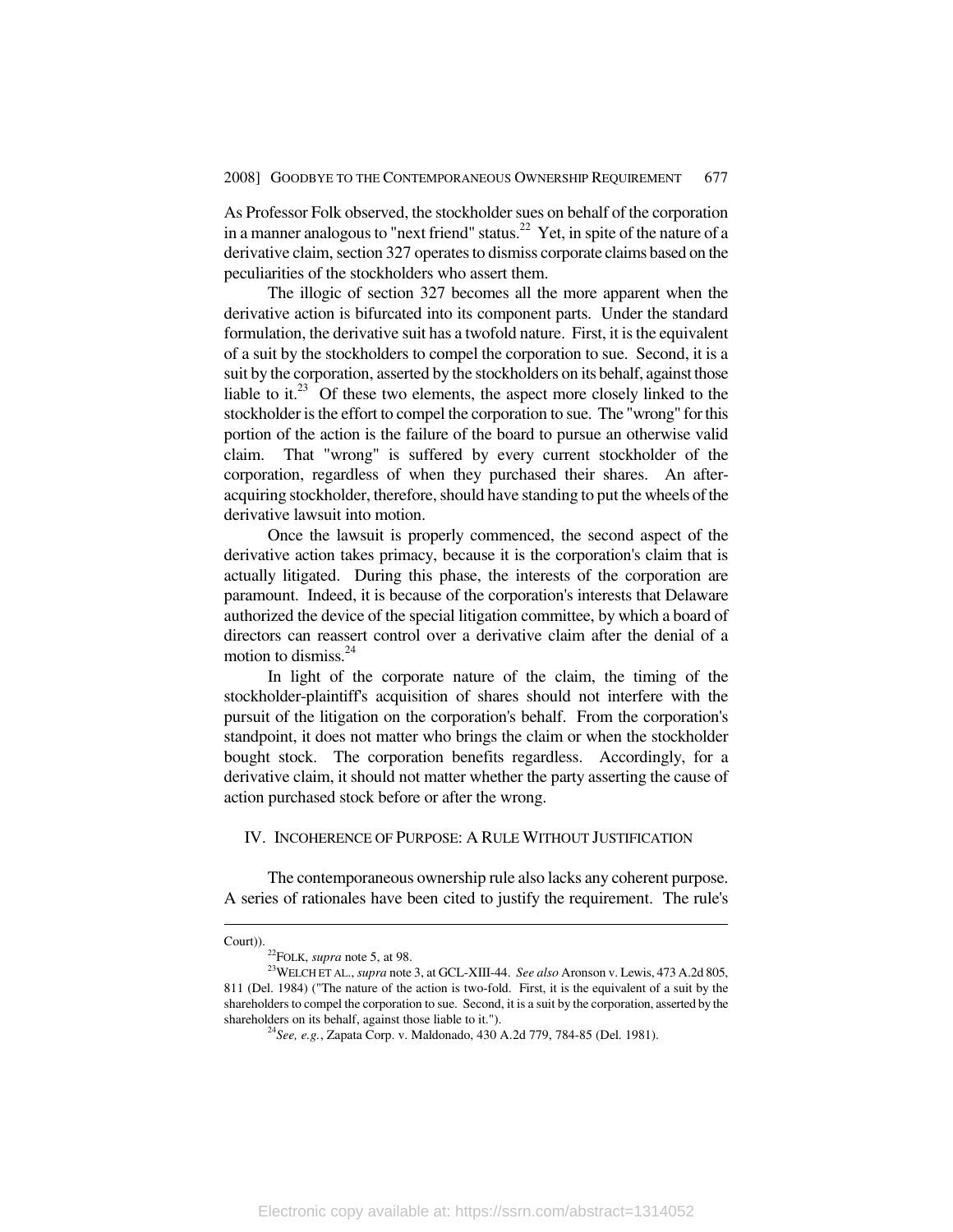As Professor Folk observed, the stockholder sues on behalf of the corporation in a manner analogous to "next friend" status.<sup>22</sup> Yet, in spite of the nature of a derivative claim, section 327 operates to dismiss corporate claims based on the peculiarities of the stockholders who assert them.

The illogic of section 327 becomes all the more apparent when the derivative action is bifurcated into its component parts. Under the standard formulation, the derivative suit has a twofold nature. First, it is the equivalent of a suit by the stockholders to compel the corporation to sue. Second, it is a suit by the corporation, asserted by the stockholders on its behalf, against those liable to it. $^{23}$  Of these two elements, the aspect more closely linked to the stockholder is the effort to compel the corporation to sue. The "wrong" for this portion of the action is the failure of the board to pursue an otherwise valid claim. That "wrong" is suffered by every current stockholder of the corporation, regardless of when they purchased their shares. An afteracquiring stockholder, therefore, should have standing to put the wheels of the derivative lawsuit into motion.

Once the lawsuit is properly commenced, the second aspect of the derivative action takes primacy, because it is the corporation's claim that is actually litigated. During this phase, the interests of the corporation are paramount. Indeed, it is because of the corporation's interests that Delaware authorized the device of the special litigation committee, by which a board of directors can reassert control over a derivative claim after the denial of a motion to dismiss.<sup>24</sup>

In light of the corporate nature of the claim, the timing of the stockholder-plaintiff's acquisition of shares should not interfere with the pursuit of the litigation on the corporation's behalf. From the corporation's standpoint, it does not matter who brings the claim or when the stockholder bought stock. The corporation benefits regardless. Accordingly, for a derivative claim, it should not matter whether the party asserting the cause of action purchased stock before or after the wrong.

## IV. INCOHERENCE OF PURPOSE: A RULE WITHOUT JUSTIFICATION

The contemporaneous ownership rule also lacks any coherent purpose. A series of rationales have been cited to justify the requirement. The rule's

Court)). <sup>22</sup>FOLK, *supra* note 5, at 98.

<sup>&</sup>lt;sup>23</sup>WELCH ET AL., *supra* note 3, at GCL-XIII-44. *See also* Aronson v. Lewis, 473 A.2d 805, 811 (Del. 1984) ("The nature of the action is two-fold. First, it is the equivalent of a suit by the shareholders to compel the corporation to sue. Second, it is a suit by the corporation, asserted by the shareholders on its behalf, against those liable to it.").

<sup>&</sup>lt;sup>24</sup> See, e.g., Zapata Corp. v. Maldonado, 430 A.2d 779, 784-85 (Del. 1981).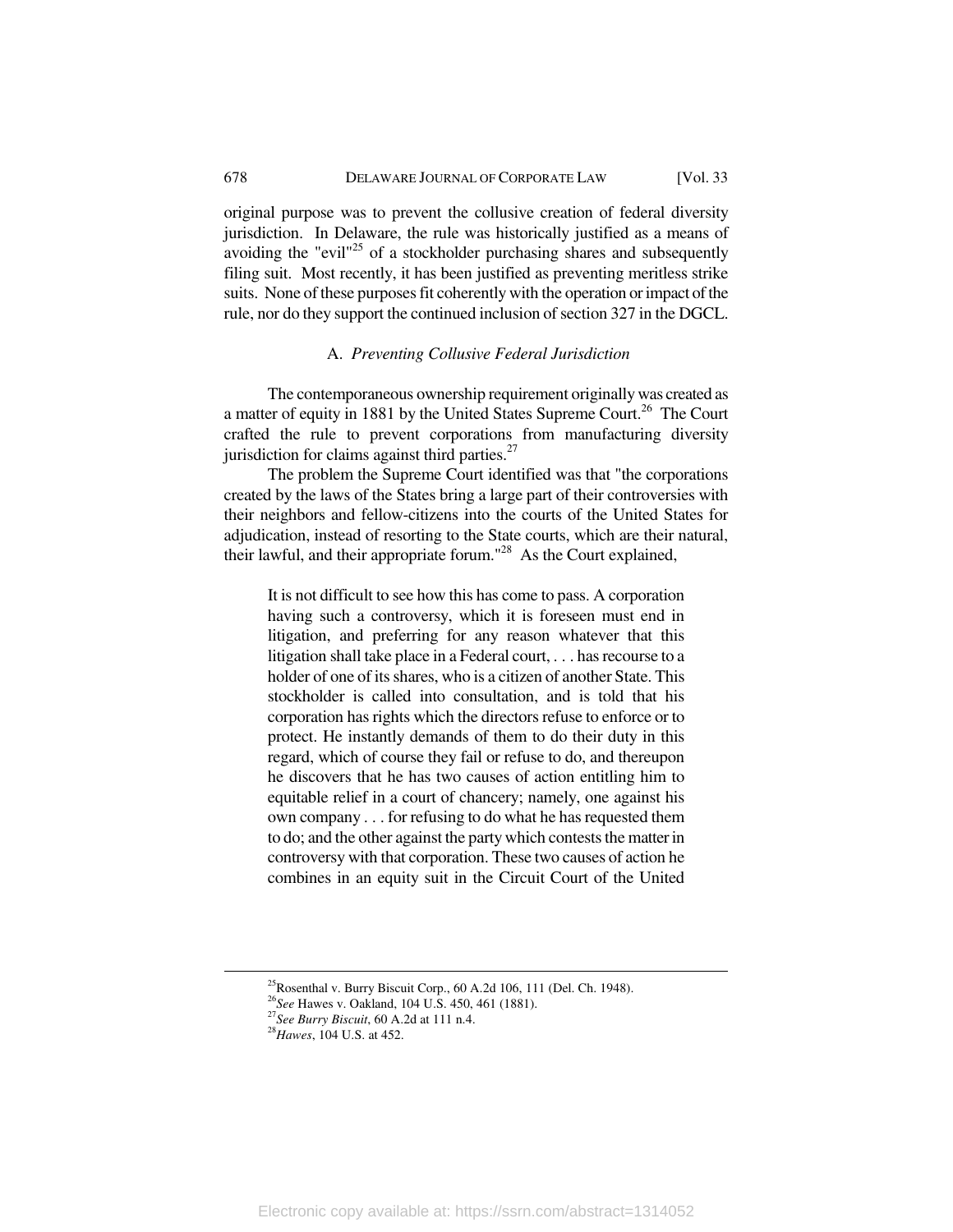original purpose was to prevent the collusive creation of federal diversity jurisdiction. In Delaware, the rule was historically justified as a means of avoiding the "evil"<sup>25</sup> of a stockholder purchasing shares and subsequently filing suit. Most recently, it has been justified as preventing meritless strike suits. None of these purposes fit coherently with the operation or impact of the rule, nor do they support the continued inclusion of section 327 in the DGCL.

## A. *Preventing Collusive Federal Jurisdiction*

The contemporaneous ownership requirement originally was created as a matter of equity in 1881 by the United States Supreme Court.<sup>26</sup> The Court crafted the rule to prevent corporations from manufacturing diversity jurisdiction for claims against third parties. $27$ 

The problem the Supreme Court identified was that "the corporations created by the laws of the States bring a large part of their controversies with their neighbors and fellow-citizens into the courts of the United States for adjudication, instead of resorting to the State courts, which are their natural, their lawful, and their appropriate forum."28 As the Court explained,

It is not difficult to see how this has come to pass. A corporation having such a controversy, which it is foreseen must end in litigation, and preferring for any reason whatever that this litigation shall take place in a Federal court, . . . has recourse to a holder of one of its shares, who is a citizen of another State. This stockholder is called into consultation, and is told that his corporation has rights which the directors refuse to enforce or to protect. He instantly demands of them to do their duty in this regard, which of course they fail or refuse to do, and thereupon he discovers that he has two causes of action entitling him to equitable relief in a court of chancery; namely, one against his own company . . . for refusing to do what he has requested them to do; and the other against the party which contests the matter in controversy with that corporation. These two causes of action he combines in an equity suit in the Circuit Court of the United

<sup>&</sup>lt;sup>25</sup>Rosenthal v. Burry Biscuit Corp., 60 A.2d 106, 111 (Del. Ch. 1948).<br><sup>26</sup>See Hawes v. Oakland, 104 U.S. 450, 461 (1881).

<sup>&</sup>lt;sup>27</sup>See Burry Biscuit, 60 A.2d at 111 n.4. <sup>28</sup>*Hawes*, 104 U.S. at 452.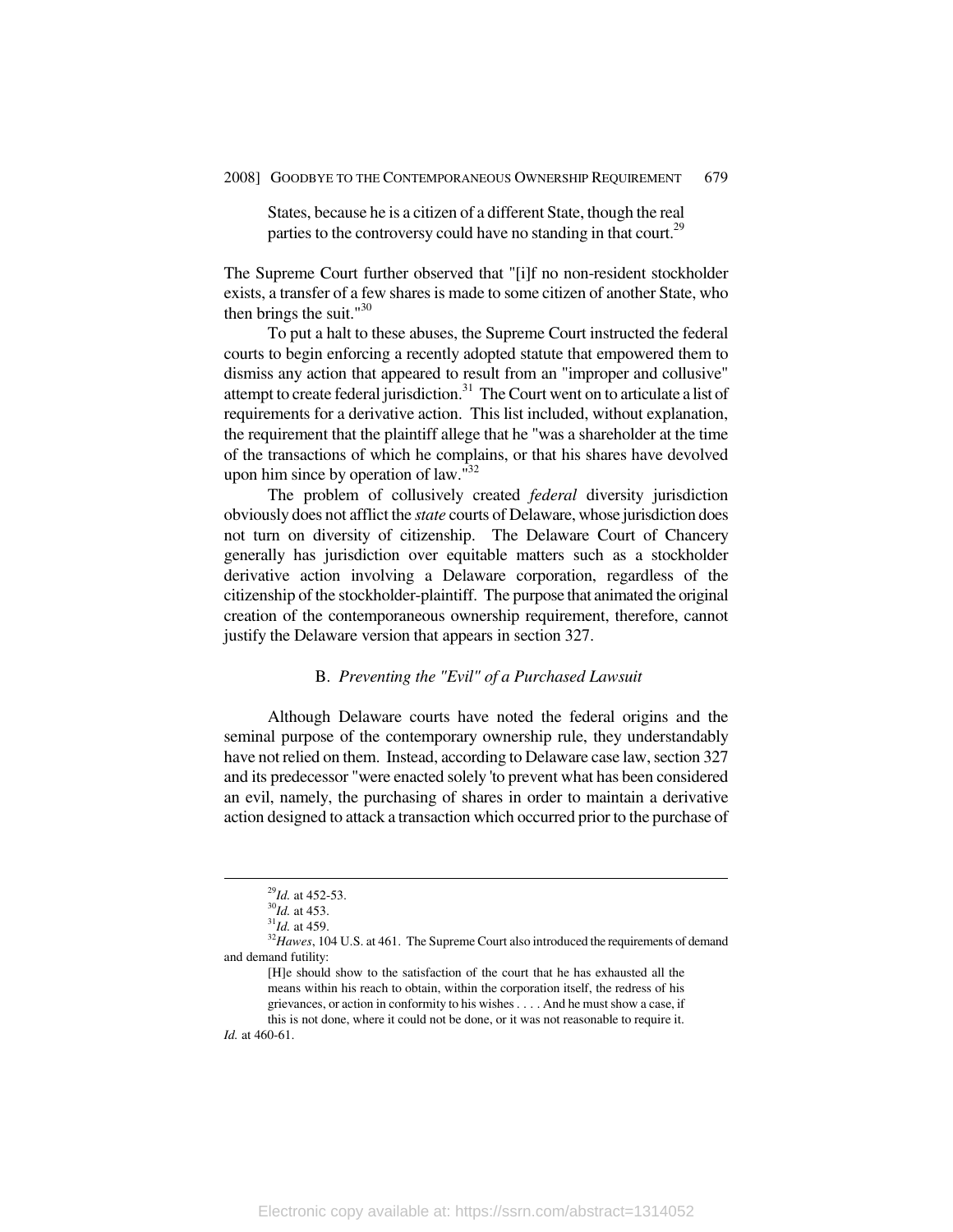States, because he is a citizen of a different State, though the real parties to the controversy could have no standing in that court.<sup>29</sup>

The Supreme Court further observed that "[i]f no non-resident stockholder exists, a transfer of a few shares is made to some citizen of another State, who then brings the suit." $30$ 

To put a halt to these abuses, the Supreme Court instructed the federal courts to begin enforcing a recently adopted statute that empowered them to dismiss any action that appeared to result from an "improper and collusive" attempt to create federal jurisdiction. $31$  The Court went on to articulate a list of requirements for a derivative action. This list included, without explanation, the requirement that the plaintiff allege that he "was a shareholder at the time of the transactions of which he complains, or that his shares have devolved upon him since by operation of law. $132$ 

The problem of collusively created *federal* diversity jurisdiction obviously does not afflict the *state* courts of Delaware, whose jurisdiction does not turn on diversity of citizenship. The Delaware Court of Chancery generally has jurisdiction over equitable matters such as a stockholder derivative action involving a Delaware corporation, regardless of the citizenship of the stockholder-plaintiff. The purpose that animated the original creation of the contemporaneous ownership requirement, therefore, cannot justify the Delaware version that appears in section 327.

# B. *Preventing the "Evil" of a Purchased Lawsuit*

Although Delaware courts have noted the federal origins and the seminal purpose of the contemporary ownership rule, they understandably have not relied on them. Instead, according to Delaware case law, section 327 and its predecessor "were enacted solely 'to prevent what has been considered an evil, namely, the purchasing of shares in order to maintain a derivative action designed to attack a transaction which occurred prior to the purchase of

<sup>&</sup>lt;sup>29</sup>*Id.* at 452-53.<br><sup>30</sup>*Id.* at 453.<br><sup>31</sup>*Id.* at 459.<br><sup>32</sup>*Hawes*, 104 U.S. at 461. The Supreme Court also introduced the requirements of demand and demand futility:

<sup>[</sup>H]e should show to the satisfaction of the court that he has exhausted all the means within his reach to obtain, within the corporation itself, the redress of his grievances, or action in conformity to his wishes . . . . And he must show a case, if this is not done, where it could not be done, or it was not reasonable to require it.

*Id.* at 460-61.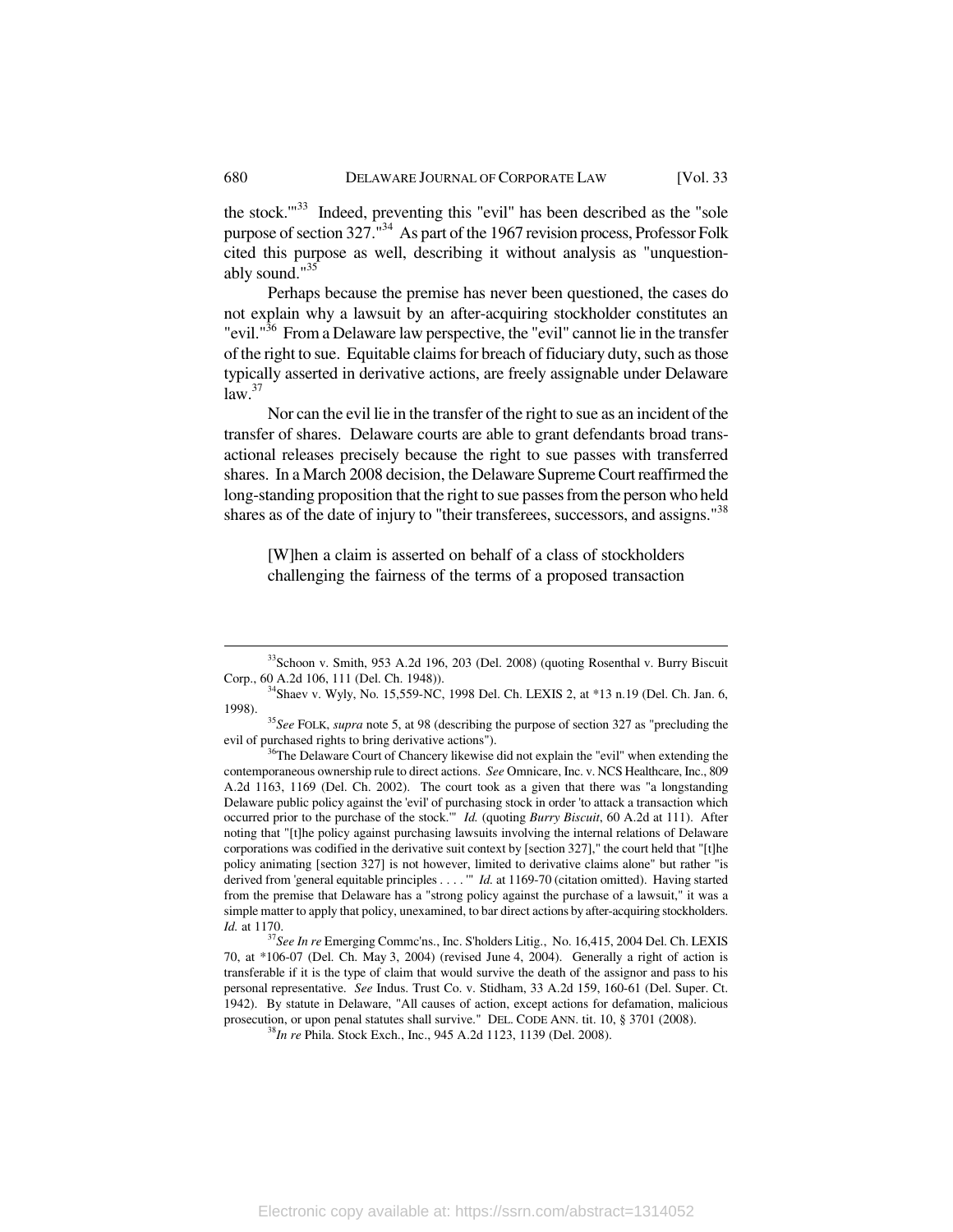the stock."<sup>33</sup> Indeed, preventing this "evil" has been described as the "sole purpose of section  $327.^{134}$  As part of the 1967 revision process, Professor Folk cited this purpose as well, describing it without analysis as "unquestionably sound."35

Perhaps because the premise has never been questioned, the cases do not explain why a lawsuit by an after-acquiring stockholder constitutes an "evil."<sup>36</sup> From a Delaware law perspective, the "evil" cannot lie in the transfer of the right to sue. Equitable claims for breach of fiduciary duty, such as those typically asserted in derivative actions, are freely assignable under Delaware  $law.<sup>37</sup>$ 

Nor can the evil lie in the transfer of the right to sue as an incident of the transfer of shares. Delaware courts are able to grant defendants broad transactional releases precisely because the right to sue passes with transferred shares. In a March 2008 decision, the Delaware Supreme Court reaffirmed the long-standing proposition that the right to sue passes from the person who held shares as of the date of injury to "their transferees, successors, and assigns."<sup>38</sup>

[W]hen a claim is asserted on behalf of a class of stockholders challenging the fairness of the terms of a proposed transaction

<sup>&</sup>lt;sup>33</sup>Schoon v. Smith, 953 A.2d 196, 203 (Del. 2008) (quoting Rosenthal v. Burry Biscuit

Corp., 60 A.2d 106, 111 (Del. Ch. 1948)). <sup>34</sup>Shaev v. Wyly, No. 15,559-NC, 1998 Del. Ch. LEXIS 2, at \*13 n.19 (Del. Ch. Jan. 6, 1998).

<sup>&</sup>lt;sup>35</sup>See FOLK, *supra* note 5, at 98 (describing the purpose of section 327 as "precluding the evil of purchased rights to bring derivative actions").<br><sup>36</sup>The Delaware Court of Chancery likewise did not explain the "evil" when extending the

contemporaneous ownership rule to direct actions. *See* Omnicare, Inc. v. NCS Healthcare, Inc., 809 A.2d 1163, 1169 (Del. Ch. 2002). The court took as a given that there was "a longstanding Delaware public policy against the 'evil' of purchasing stock in order 'to attack a transaction which occurred prior to the purchase of the stock.'" *Id.* (quoting *Burry Biscuit*, 60 A.2d at 111). After noting that "[t]he policy against purchasing lawsuits involving the internal relations of Delaware corporations was codified in the derivative suit context by [section 327]," the court held that "[t]he policy animating [section 327] is not however, limited to derivative claims alone" but rather "is derived from 'general equitable principles . . . . '" *Id.* at 1169-70 (citation omitted). Having started from the premise that Delaware has a "strong policy against the purchase of a lawsuit," it was a simple matter to apply that policy, unexamined, to bar direct actions by after-acquiring stockholders. *Id.* at 1170.

<sup>&</sup>lt;sup>37</sup>See In re Emerging Commc'ns., Inc. S'holders Litig., No. 16,415, 2004 Del. Ch. LEXIS 70, at \*106-07 (Del. Ch. May 3, 2004) (revised June 4, 2004). Generally a right of action is transferable if it is the type of claim that would survive the death of the assignor and pass to his personal representative. *See* Indus. Trust Co. v. Stidham, 33 A.2d 159, 160-61 (Del. Super. Ct. 1942). By statute in Delaware, "All causes of action, except actions for defamation, malicious prosecution, or upon penal statutes shall survive." DEL. CODE ANN. tit. 10, § 3701 (2008). 38*In re* Phila. Stock Exch., Inc., 945 A.2d 1123, 1139 (Del. 2008).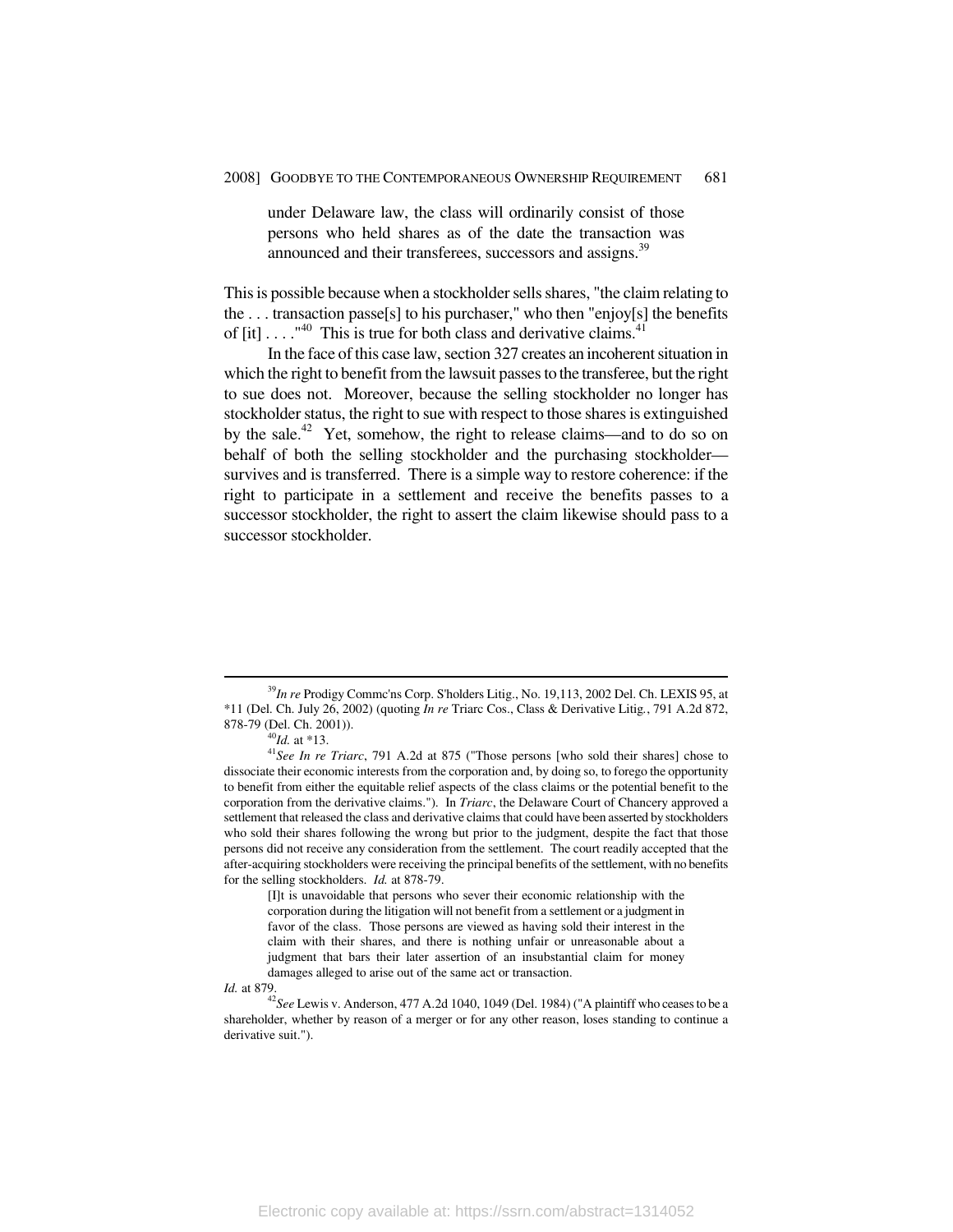under Delaware law, the class will ordinarily consist of those persons who held shares as of the date the transaction was announced and their transferees, successors and assigns.<sup>39</sup>

This is possible because when a stockholder sells shares, "the claim relating to the . . . transaction passe[s] to his purchaser," who then "enjoy[s] the benefits of  $\lceil$ it $\rceil$ ...."<sup>40</sup> This is true for both class and derivative claims.<sup>41</sup>

In the face of this case law, section 327 creates an incoherent situation in which the right to benefit from the lawsuit passes to the transferee, but the right to sue does not. Moreover, because the selling stockholder no longer has stockholder status, the right to sue with respect to those shares is extinguished by the sale.<sup>42</sup> Yet, somehow, the right to release claims—and to do so on behalf of both the selling stockholder and the purchasing stockholder survives and is transferred. There is a simple way to restore coherence: if the right to participate in a settlement and receive the benefits passes to a successor stockholder, the right to assert the claim likewise should pass to a successor stockholder.

[I]t is unavoidable that persons who sever their economic relationship with the corporation during the litigation will not benefit from a settlement or a judgment in favor of the class. Those persons are viewed as having sold their interest in the claim with their shares, and there is nothing unfair or unreasonable about a judgment that bars their later assertion of an insubstantial claim for money damages alleged to arise out of the same act or transaction.

*Id.* at 879.<br><sup>42</sup>*See* Lewis v. Anderson, 477 A.2d 1040, 1049 (Del. 1984) ("A plaintiff who ceases to be a shareholder, whether by reason of a merger or for any other reason, loses standing to continue a derivative suit.").

 <sup>39</sup>*In re* Prodigy Commc'ns Corp. S'holders Litig., No. 19,113, 2002 Del. Ch. LEXIS 95, at \*11 (Del. Ch. July 26, 2002) (quoting *In re* Triarc Cos., Class & Derivative Litig*.*, 791 A.2d 872,

<sup>&</sup>lt;sup>40</sup>*Id.* at \*13. <sup>41</sup>*See In re Triarc*, 791 A.2d at 875 ("Those persons [who sold their shares] chose to dissociate their economic interests from the corporation and, by doing so, to forego the opportunity to benefit from either the equitable relief aspects of the class claims or the potential benefit to the corporation from the derivative claims."). In *Triarc*, the Delaware Court of Chancery approved a settlement that released the class and derivative claims that could have been asserted by stockholders who sold their shares following the wrong but prior to the judgment, despite the fact that those persons did not receive any consideration from the settlement. The court readily accepted that the after-acquiring stockholders were receiving the principal benefits of the settlement, with no benefits for the selling stockholders. *Id.* at 878-79.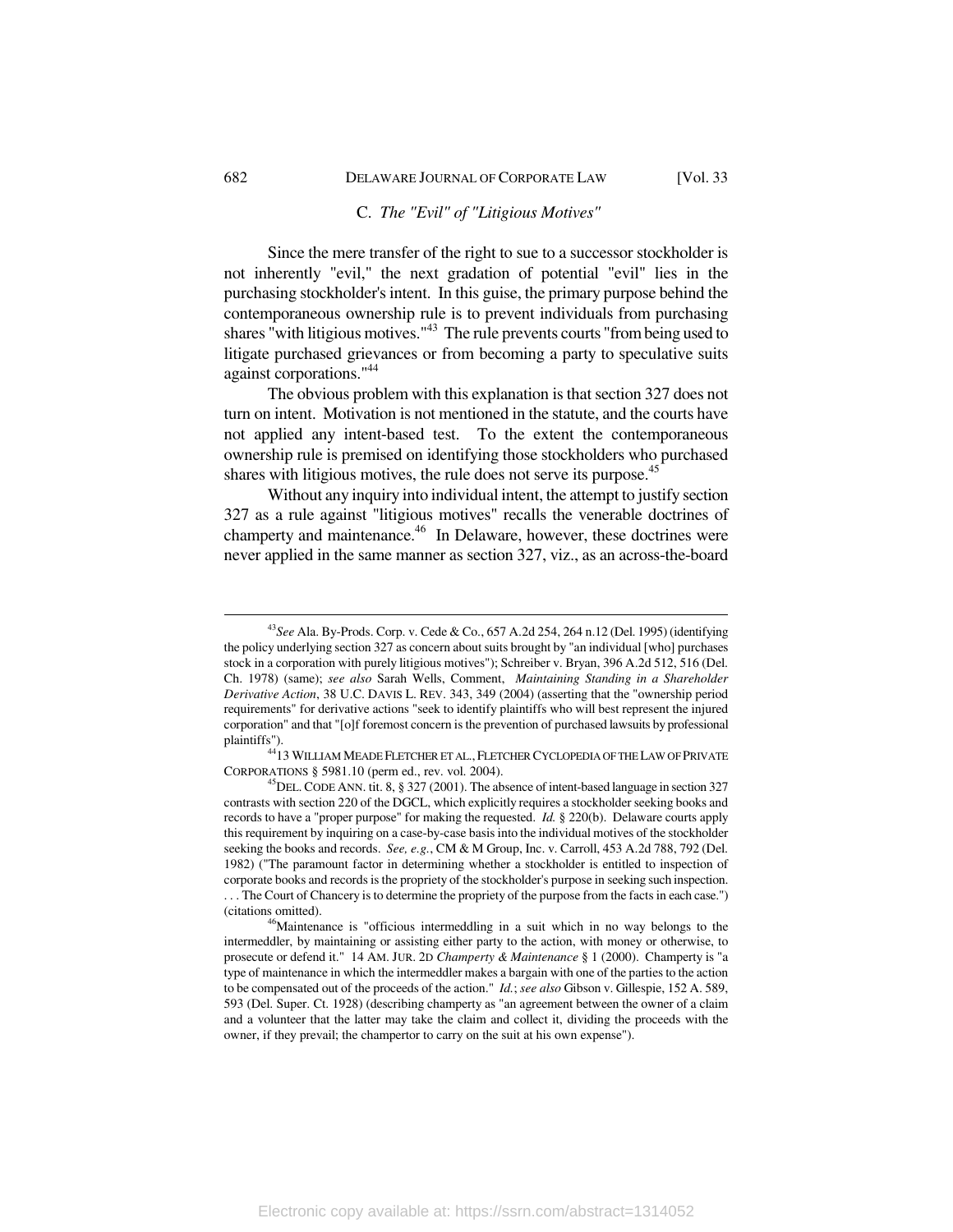#### C. *The "Evil" of "Litigious Motives"*

Since the mere transfer of the right to sue to a successor stockholder is not inherently "evil," the next gradation of potential "evil" lies in the purchasing stockholder's intent. In this guise, the primary purpose behind the contemporaneous ownership rule is to prevent individuals from purchasing shares "with litigious motives."<sup>43</sup> The rule prevents courts "from being used to litigate purchased grievances or from becoming a party to speculative suits against corporations."44

The obvious problem with this explanation is that section 327 does not turn on intent. Motivation is not mentioned in the statute, and the courts have not applied any intent-based test. To the extent the contemporaneous ownership rule is premised on identifying those stockholders who purchased shares with litigious motives, the rule does not serve its purpose.<sup>45</sup>

Without any inquiry into individual intent, the attempt to justify section 327 as a rule against "litigious motives" recalls the venerable doctrines of champerty and maintenance.<sup>46</sup> In Delaware, however, these doctrines were never applied in the same manner as section 327, viz., as an across-the-board

 <sup>43</sup>*See* Ala. By-Prods. Corp. v. Cede & Co., 657 A.2d 254, 264 n.12 (Del. 1995) (identifying the policy underlying section 327 as concern about suits brought by "an individual [who] purchases stock in a corporation with purely litigious motives"); Schreiber v. Bryan, 396 A.2d 512, 516 (Del. Ch. 1978) (same); *see also* Sarah Wells, Comment, *Maintaining Standing in a Shareholder Derivative Action*, 38 U.C. DAVIS L. REV. 343, 349 (2004) (asserting that the "ownership period requirements" for derivative actions "seek to identify plaintiffs who will best represent the injured corporation" and that "[o]f foremost concern is the prevention of purchased lawsuits by professional

 $^{44}$ 13 WILLIAM MEADE FLETCHER ET AL., FLETCHER CYCLOPEDIA OF THE LAW OF PRIVATE CORPORATIONS § 5981.10 (perm ed., rev. vol. 2004). 45DEL. CODE ANN. tit. 8, § 327 (2001). The absence of intent-based language in section 327

contrasts with section 220 of the DGCL, which explicitly requires a stockholder seeking books and records to have a "proper purpose" for making the requested. *Id.* § 220(b). Delaware courts apply this requirement by inquiring on a case-by-case basis into the individual motives of the stockholder seeking the books and records. *See, e.g.*, CM & M Group, Inc. v. Carroll, 453 A.2d 788, 792 (Del. 1982) ("The paramount factor in determining whether a stockholder is entitled to inspection of corporate books and records is the propriety of the stockholder's purpose in seeking such inspection.

<sup>. . .</sup> The Court of Chancery is to determine the propriety of the purpose from the facts in each case.") (citations omitted). 46Maintenance is "officious intermeddling in a suit which in no way belongs to the

intermeddler, by maintaining or assisting either party to the action, with money or otherwise, to prosecute or defend it." 14 AM. JUR. 2D *Champerty & Maintenance* § 1 (2000). Champerty is "a type of maintenance in which the intermeddler makes a bargain with one of the parties to the action to be compensated out of the proceeds of the action." *Id.*; *see also* Gibson v. Gillespie, 152 A. 589, 593 (Del. Super. Ct. 1928) (describing champerty as "an agreement between the owner of a claim and a volunteer that the latter may take the claim and collect it, dividing the proceeds with the owner, if they prevail; the champertor to carry on the suit at his own expense").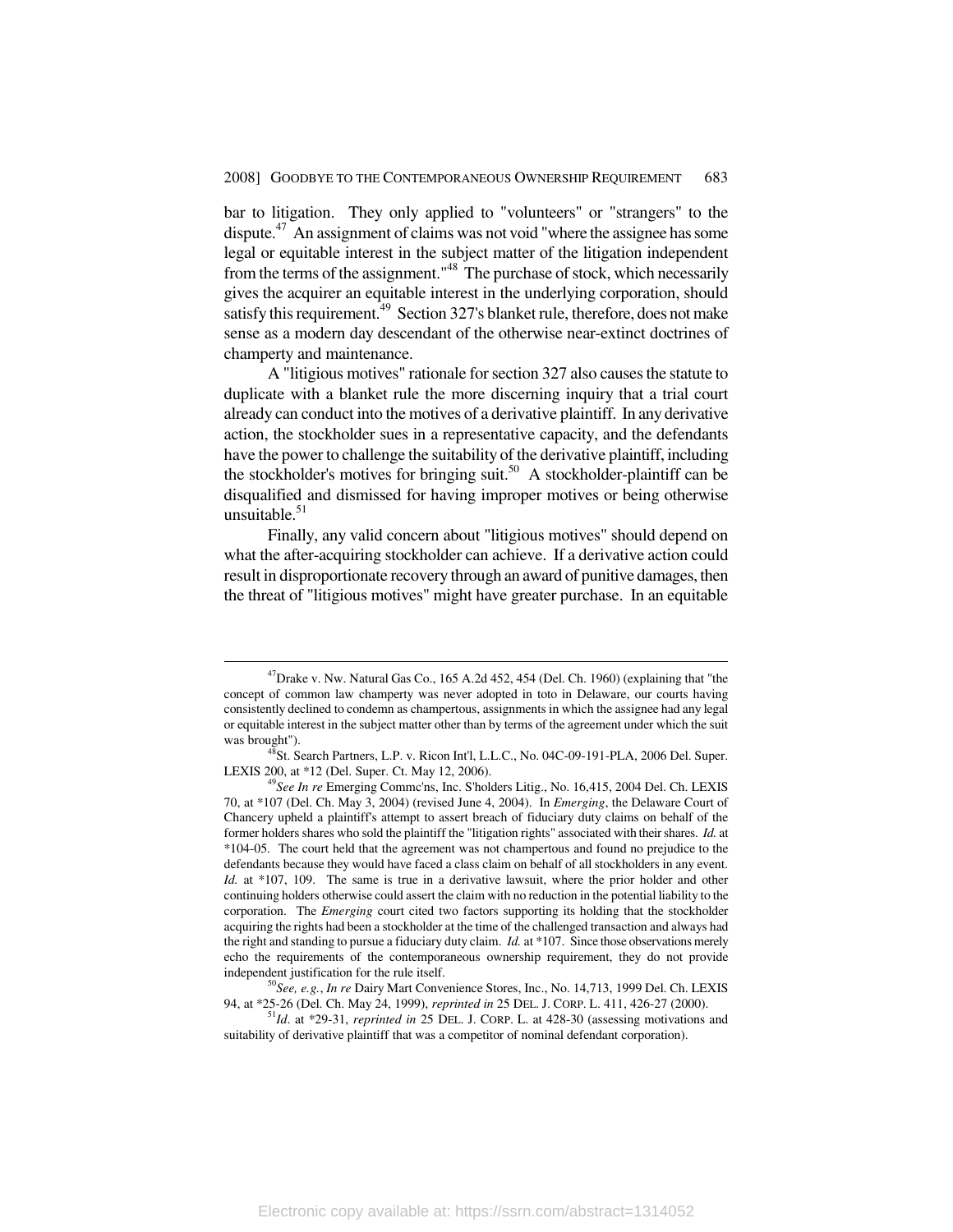bar to litigation. They only applied to "volunteers" or "strangers" to the dispute.<sup>47</sup> An assignment of claims was not void "where the assignee has some legal or equitable interest in the subject matter of the litigation independent from the terms of the assignment." $48 \text{ The purchase of stock, which necessarily}$ gives the acquirer an equitable interest in the underlying corporation, should satisfy this requirement.<sup>49</sup> Section 327's blanket rule, therefore, does not make sense as a modern day descendant of the otherwise near-extinct doctrines of champerty and maintenance.

A "litigious motives" rationale for section 327 also causes the statute to duplicate with a blanket rule the more discerning inquiry that a trial court already can conduct into the motives of a derivative plaintiff. In any derivative action, the stockholder sues in a representative capacity, and the defendants have the power to challenge the suitability of the derivative plaintiff, including the stockholder's motives for bringing suit.<sup>50</sup> A stockholder-plaintiff can be disqualified and dismissed for having improper motives or being otherwise unsuitable. $51$ 

Finally, any valid concern about "litigious motives" should depend on what the after-acquiring stockholder can achieve. If a derivative action could result in disproportionate recovery through an award of punitive damages, then the threat of "litigious motives" might have greater purchase. In an equitable

 $^{47}$ Drake v. Nw. Natural Gas Co., 165 A.2d 452, 454 (Del. Ch. 1960) (explaining that "the concept of common law champerty was never adopted in toto in Delaware, our courts having consistently declined to condemn as champertous, assignments in which the assignee had any legal or equitable interest in the subject matter other than by terms of the agreement under which the suit was brought").<br><sup>48</sup>St. Search Partners, L.P. v. Ricon Int'l, L.L.C., No. 04C-09-191-PLA, 2006 Del. Super.

LEXIS 200, at \*12 (Del. Super. Ct. May 12, 2006). 49*See In re* Emerging Commc'ns, Inc. S'holders Litig., No. 16,415, 2004 Del. Ch. LEXIS

<sup>70,</sup> at \*107 (Del. Ch. May 3, 2004) (revised June 4, 2004). In *Emerging*, the Delaware Court of Chancery upheld a plaintiff's attempt to assert breach of fiduciary duty claims on behalf of the former holders shares who sold the plaintiff the "litigation rights" associated with their shares. *Id.* at \*104-05. The court held that the agreement was not champertous and found no prejudice to the defendants because they would have faced a class claim on behalf of all stockholders in any event. *Id.* at \*107, 109. The same is true in a derivative lawsuit, where the prior holder and other continuing holders otherwise could assert the claim with no reduction in the potential liability to the corporation. The *Emerging* court cited two factors supporting its holding that the stockholder acquiring the rights had been a stockholder at the time of the challenged transaction and always had the right and standing to pursue a fiduciary duty claim. *Id.* at \*107. Since those observations merely echo the requirements of the contemporaneous ownership requirement, they do not provide

independent justification for the rule itself.<br><sup>50</sup>*See, e.g., In re* Dairy Mart Convenience Stores, Inc., No. 14,713, 1999 Del. Ch. LEXIS<br>94, at \*25-26 (Del. Ch. May 24, 1999), *reprinted in* 25 DEL. J. CORP. L. 411, 426-

<sup>&</sup>lt;sup>51</sup>Id. at \*29-31, *reprinted in* 25 DEL. J. CORP. L. at 428-30 (assessing motivations and suitability of derivative plaintiff that was a competitor of nominal defendant corporation).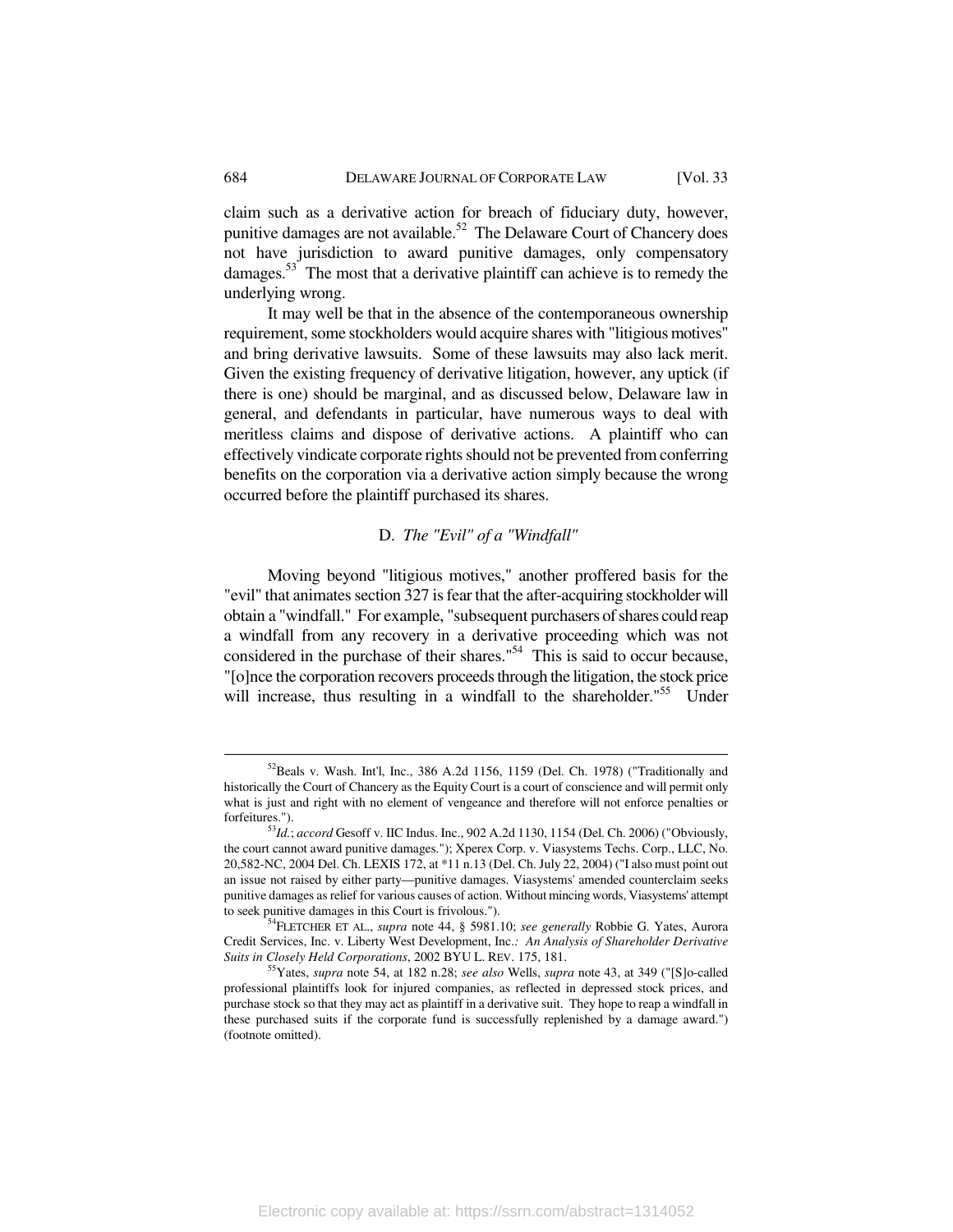claim such as a derivative action for breach of fiduciary duty, however, punitive damages are not available.<sup>52</sup> The Delaware Court of Chancery does not have jurisdiction to award punitive damages, only compensatory damages.<sup>53</sup> The most that a derivative plaintiff can achieve is to remedy the underlying wrong.

It may well be that in the absence of the contemporaneous ownership requirement, some stockholders would acquire shares with "litigious motives" and bring derivative lawsuits. Some of these lawsuits may also lack merit. Given the existing frequency of derivative litigation, however, any uptick (if there is one) should be marginal, and as discussed below, Delaware law in general, and defendants in particular, have numerous ways to deal with meritless claims and dispose of derivative actions. A plaintiff who can effectively vindicate corporate rights should not be prevented from conferring benefits on the corporation via a derivative action simply because the wrong occurred before the plaintiff purchased its shares.

### D. *The "Evil" of a "Windfall"*

Moving beyond "litigious motives," another proffered basis for the "evil" that animates section 327 is fear that the after-acquiring stockholder will obtain a "windfall." For example, "subsequent purchasers of shares could reap a windfall from any recovery in a derivative proceeding which was not considered in the purchase of their shares."54 This is said to occur because, "[o]nce the corporation recovers proceeds through the litigation, the stock price will increase, thus resulting in a windfall to the shareholder."<sup>55</sup> Under

 <sup>52</sup>Beals v. Wash. Int'l, Inc., 386 A.2d 1156, 1159 (Del. Ch. 1978) ("Traditionally and historically the Court of Chancery as the Equity Court is a court of conscience and will permit only what is just and right with no element of vengeance and therefore will not enforce penalties or forfeitures."). 53*Id.*; *accord* Gesoff v. IIC Indus. Inc., 902 A.2d 1130, 1154 (Del. Ch. 2006) ("Obviously,

the court cannot award punitive damages."); Xperex Corp. v. Viasystems Techs. Corp., LLC, No. 20,582-NC, 2004 Del. Ch. LEXIS 172, at \*11 n.13 (Del. Ch. July 22, 2004) ("I also must point out an issue not raised by either party—punitive damages. Viasystems' amended counterclaim seeks punitive damages as relief for various causes of action. Without mincing words, Viasystems' attempt to seek punitive damages in this Court is frivolous."). 54FLETCHER ET AL., *supra* note 44, § 5981.10; *see generally* Robbie G. Yates, Aurora

Credit Services, Inc. v. Liberty West Development, Inc.*: An Analysis of Shareholder Derivative* 

<sup>&</sup>lt;sup>55</sup>Yates, *supra* note 54, at 182 n.28; *see also* Wells, *supra* note 43, at 349 ("[S]o-called professional plaintiffs look for injured companies, as reflected in depressed stock prices, and purchase stock so that they may act as plaintiff in a derivative suit. They hope to reap a windfall in these purchased suits if the corporate fund is successfully replenished by a damage award.") (footnote omitted).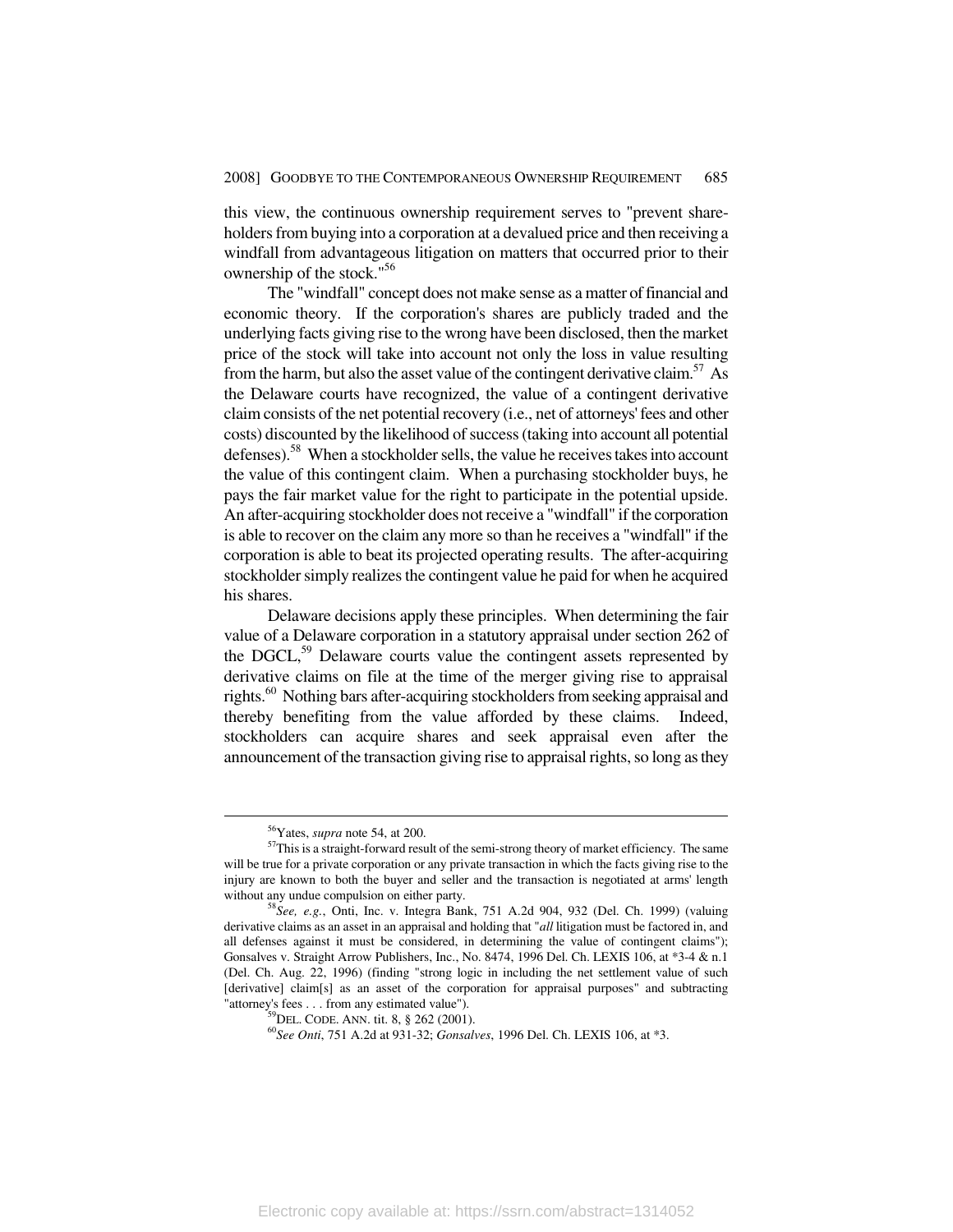this view, the continuous ownership requirement serves to "prevent shareholders from buying into a corporation at a devalued price and then receiving a windfall from advantageous litigation on matters that occurred prior to their ownership of the stock."56

The "windfall" concept does not make sense as a matter of financial and economic theory. If the corporation's shares are publicly traded and the underlying facts giving rise to the wrong have been disclosed, then the market price of the stock will take into account not only the loss in value resulting from the harm, but also the asset value of the contingent derivative claim.<sup>57</sup> As the Delaware courts have recognized, the value of a contingent derivative claim consists of the net potential recovery (i.e., net of attorneys' fees and other costs) discounted by the likelihood of success (taking into account all potential defenses).<sup>58</sup> When a stockholder sells, the value he receives takes into account the value of this contingent claim. When a purchasing stockholder buys, he pays the fair market value for the right to participate in the potential upside. An after-acquiring stockholder does not receive a "windfall" if the corporation is able to recover on the claim any more so than he receives a "windfall" if the corporation is able to beat its projected operating results. The after-acquiring stockholder simply realizes the contingent value he paid for when he acquired his shares.

Delaware decisions apply these principles. When determining the fair value of a Delaware corporation in a statutory appraisal under section 262 of the DGCL, $^{59}$  Delaware courts value the contingent assets represented by derivative claims on file at the time of the merger giving rise to appraisal rights.<sup>60</sup> Nothing bars after-acquiring stockholders from seeking appraisal and thereby benefiting from the value afforded by these claims. Indeed, stockholders can acquire shares and seek appraisal even after the announcement of the transaction giving rise to appraisal rights, so long as they

<sup>&</sup>lt;sup>56</sup>Yates, *supra* note 54, at 200.<br><sup>57</sup>This is a straight-forward result of the semi-strong theory of market efficiency. The same will be true for a private corporation or any private transaction in which the facts giving rise to the injury are known to both the buyer and seller and the transaction is negotiated at arms' length without any undue compulsion on either party.<br><sup>58</sup>*See, e.g.*, Onti, Inc. v. Integra Bank, 751 A.2d 904, 932 (Del. Ch. 1999) (valuing

derivative claims as an asset in an appraisal and holding that "*all* litigation must be factored in, and all defenses against it must be considered, in determining the value of contingent claims"); Gonsalves v. Straight Arrow Publishers, Inc., No. 8474, 1996 Del. Ch. LEXIS 106, at \*3-4 & n.1 (Del. Ch. Aug. 22, 1996) (finding "strong logic in including the net settlement value of such [derivative] claim[s] as an asset of the corporation for appraisal purposes" and subtracting "attorney's fees . . . from any estimated value").

<sup>&</sup>lt;sup>59</sup>DEL. CODE. ANN. tit. 8, § 262 (2001).<br><sup>60</sup>See Onti, 751 A.2d at 931-32; *Gonsalves*, 1996 Del. Ch. LEXIS 106, at \*3.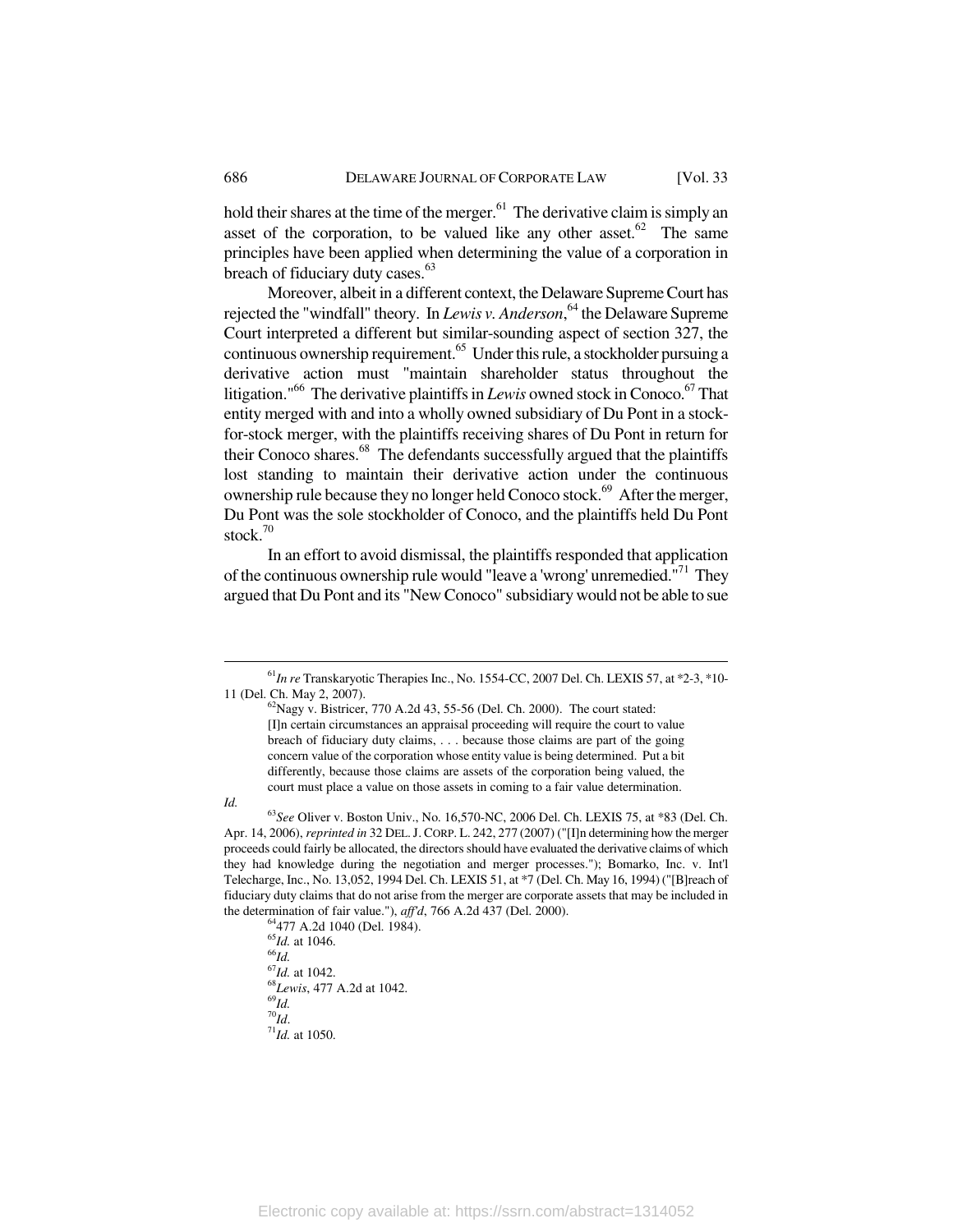hold their shares at the time of the merger. $61$  The derivative claim is simply an asset of the corporation, to be valued like any other asset.<sup>62</sup> The same principles have been applied when determining the value of a corporation in breach of fiduciary duty cases.<sup>63</sup>

Moreover, albeit in a different context, the Delaware Supreme Court has rejected the "windfall" theory. In *Lewis v. Anderson*, 64 the Delaware Supreme Court interpreted a different but similar-sounding aspect of section 327, the continuous ownership requirement.<sup>65</sup> Under this rule, a stockholder pursuing a derivative action must "maintain shareholder status throughout the litigation."<sup>66</sup> The derivative plaintiffs in *Lewis* owned stock in Conoco.<sup>67</sup> That entity merged with and into a wholly owned subsidiary of Du Pont in a stockfor-stock merger, with the plaintiffs receiving shares of Du Pont in return for their Conoco shares.<sup>68</sup> The defendants successfully argued that the plaintiffs lost standing to maintain their derivative action under the continuous ownership rule because they no longer held Conoco stock.<sup>69</sup> After the merger, Du Pont was the sole stockholder of Conoco, and the plaintiffs held Du Pont stock $10$ 

In an effort to avoid dismissal, the plaintiffs responded that application of the continuous ownership rule would "leave a 'wrong' unremedied."71 They argued that Du Pont and its "New Conoco" subsidiary would not be able to sue

 $^{65}$ *Id.* at 1046.<br> $^{66}$ *Id.* at 1042. <sup>67</sup>*Id.* at 1042. 68*Lewis*, 477 A.2d at 1042. 69*Id.*  $71$ *Id.* at 1050.

 <sup>61</sup>*In re* Transkaryotic Therapies Inc., No. 1554-CC, 2007 Del. Ch. LEXIS 57, at \*2-3, \*10- 11 (Del. Ch. May 2, 2007).<br><sup>62</sup>Nagy v. Bistricer, 770 A.2d 43, 55-56 (Del. Ch. 2000). The court stated:

<sup>[</sup>I]n certain circumstances an appraisal proceeding will require the court to value breach of fiduciary duty claims, . . . because those claims are part of the going concern value of the corporation whose entity value is being determined. Put a bit differently, because those claims are assets of the corporation being valued, the court must place a value on those assets in coming to a fair value determination.

*Id.* <sup>63</sup>*See* Oliver v. Boston Univ., No. 16,570-NC, 2006 Del. Ch. LEXIS 75, at \*83 (Del. Ch. Apr. 14, 2006), *reprinted in* 32 DEL.J. CORP. L. 242, 277 (2007) ("[I]n determining how the merger proceeds could fairly be allocated, the directors should have evaluated the derivative claims of which they had knowledge during the negotiation and merger processes."); Bomarko, Inc. v. Int'l Telecharge, Inc., No. 13,052, 1994 Del. Ch. LEXIS 51, at \*7 (Del. Ch. May 16, 1994) ("[B]reach of fiduciary duty claims that do not arise from the merger are corporate assets that may be included in the determination of fair value."), *aff'd*, 766 A.2d 437 (Del. 2000). 64477 A.2d 1040 (Del. 1984).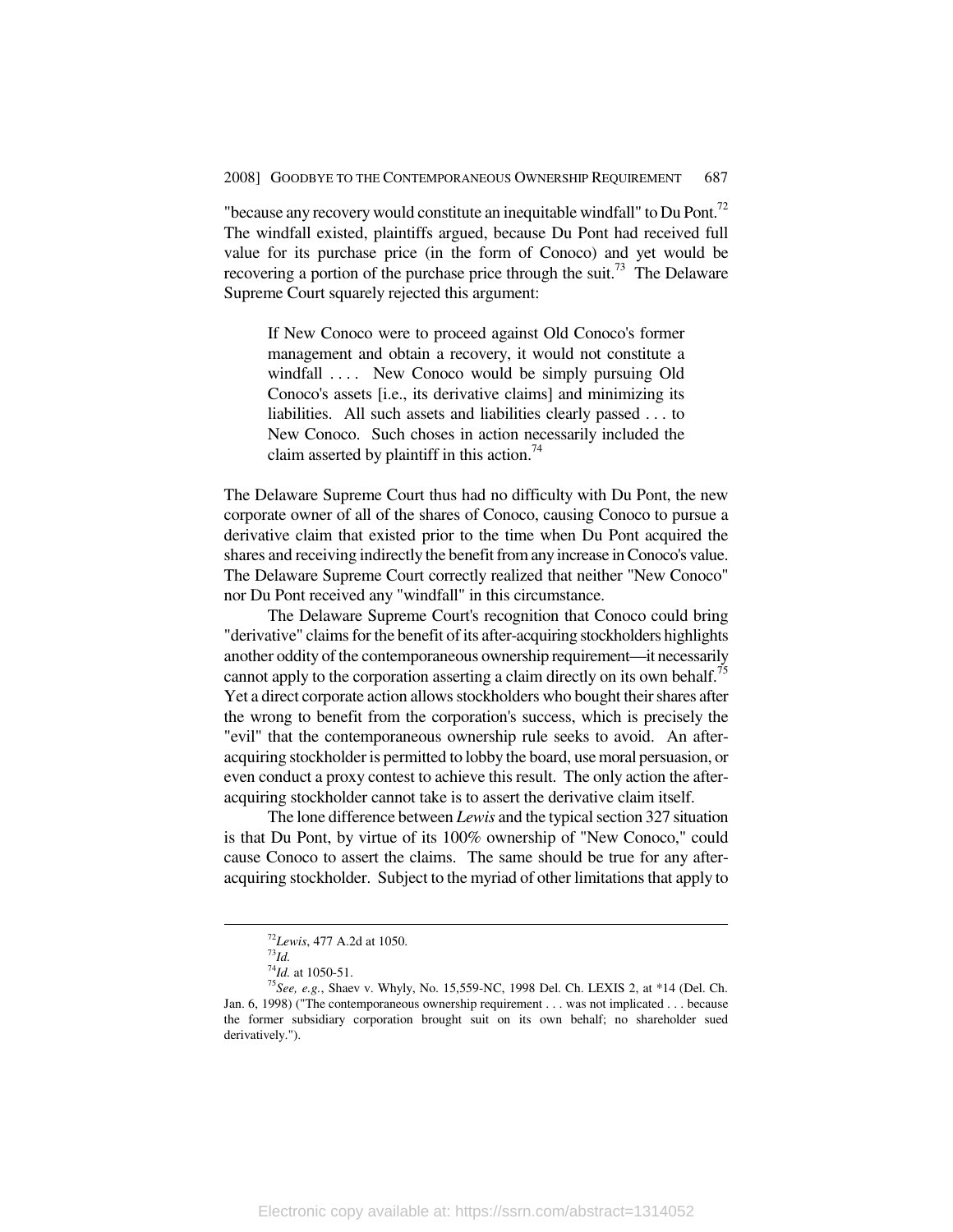"because any recovery would constitute an inequitable windfall" to Du Pont.<sup>72</sup> The windfall existed, plaintiffs argued, because Du Pont had received full value for its purchase price (in the form of Conoco) and yet would be recovering a portion of the purchase price through the suit.<sup>73</sup> The Delaware Supreme Court squarely rejected this argument:

If New Conoco were to proceed against Old Conoco's former management and obtain a recovery, it would not constitute a windfall .... New Conoco would be simply pursuing Old Conoco's assets [i.e., its derivative claims] and minimizing its liabilities. All such assets and liabilities clearly passed . . . to New Conoco. Such choses in action necessarily included the claim asserted by plaintiff in this action.<sup>74</sup>

The Delaware Supreme Court thus had no difficulty with Du Pont, the new corporate owner of all of the shares of Conoco, causing Conoco to pursue a derivative claim that existed prior to the time when Du Pont acquired the shares and receiving indirectly the benefit from any increase in Conoco's value. The Delaware Supreme Court correctly realized that neither "New Conoco" nor Du Pont received any "windfall" in this circumstance.

The Delaware Supreme Court's recognition that Conoco could bring "derivative" claims for the benefit of its after-acquiring stockholders highlights another oddity of the contemporaneous ownership requirement—it necessarily cannot apply to the corporation asserting a claim directly on its own behalf.<sup>75</sup> Yet a direct corporate action allows stockholders who bought their shares after the wrong to benefit from the corporation's success, which is precisely the "evil" that the contemporaneous ownership rule seeks to avoid. An afteracquiring stockholder is permitted to lobby the board, use moral persuasion, or even conduct a proxy contest to achieve this result. The only action the afteracquiring stockholder cannot take is to assert the derivative claim itself.

The lone difference between *Lewis* and the typical section 327 situation is that Du Pont, by virtue of its 100% ownership of "New Conoco," could cause Conoco to assert the claims. The same should be true for any afteracquiring stockholder. Subject to the myriad of other limitations that apply to

 $^{72}$ *Lewis*, 477 A.2d at 1050.<br> $^{73}$ *Id.*<br> $^{74}$ *Id.* at 1050-51.

<sup>&</sup>lt;sup>75</sup>See, e.g., Shaev v. Whyly, No. 15,559-NC, 1998 Del. Ch. LEXIS 2, at \*14 (Del. Ch. Jan. 6, 1998) ("The contemporaneous ownership requirement . . . was not implicated . . . because the former subsidiary corporation brought suit on its own behalf; no shareholder sued derivatively.").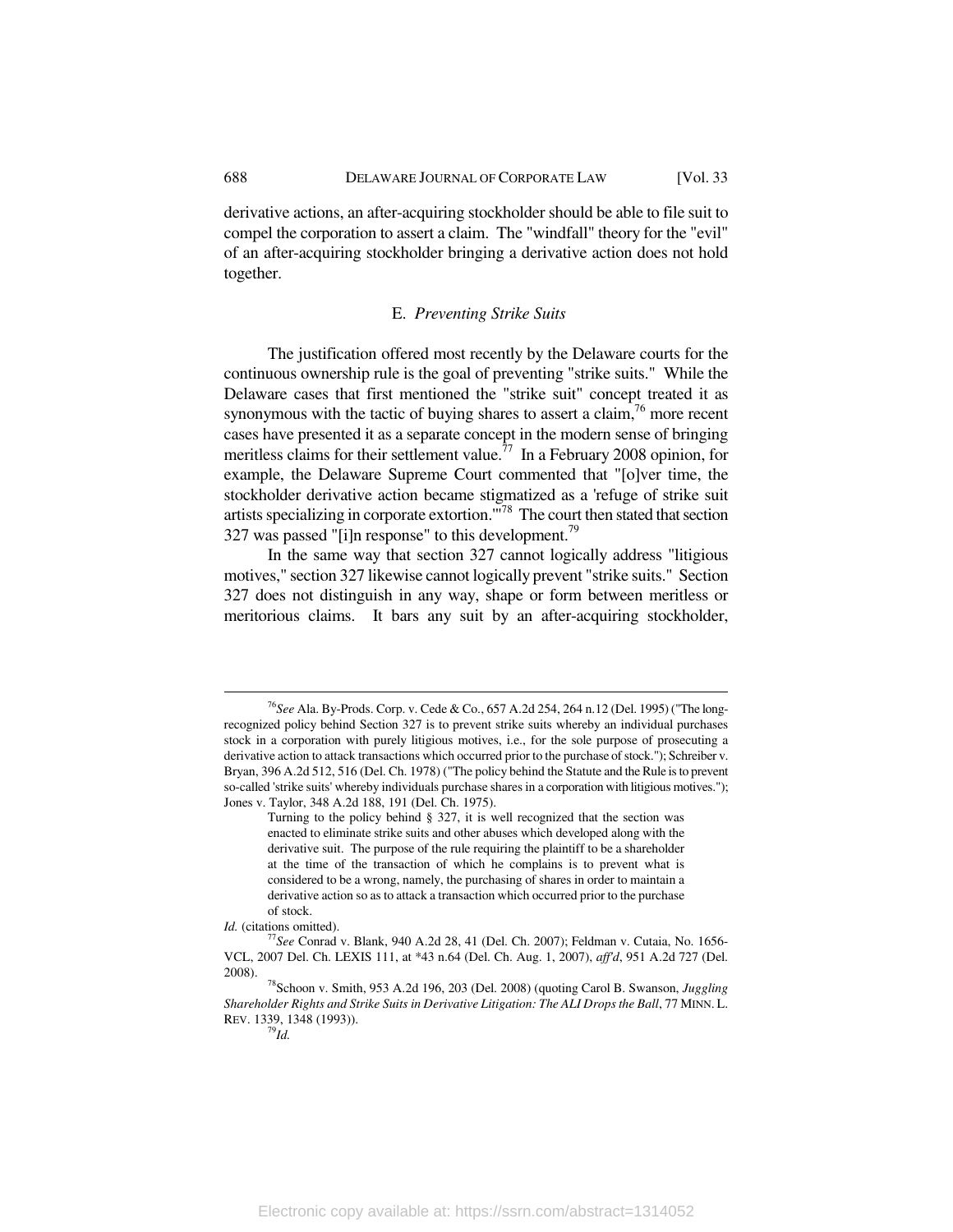derivative actions, an after-acquiring stockholder should be able to file suit to compel the corporation to assert a claim. The "windfall" theory for the "evil" of an after-acquiring stockholder bringing a derivative action does not hold together.

#### E. *Preventing Strike Suits*

The justification offered most recently by the Delaware courts for the continuous ownership rule is the goal of preventing "strike suits." While the Delaware cases that first mentioned the "strike suit" concept treated it as synonymous with the tactic of buying shares to assert a claim,  $\frac{76}{10}$  more recent cases have presented it as a separate concept in the modern sense of bringing meritless claims for their settlement value.<sup>77</sup> In a February 2008 opinion, for example, the Delaware Supreme Court commented that "[o]ver time, the stockholder derivative action became stigmatized as a 'refuge of strike suit artists specializing in corporate extortion.<sup>"78</sup> The court then stated that section 327 was passed "[i]n response" to this development.<sup>79</sup>

In the same way that section 327 cannot logically address "litigious motives," section 327 likewise cannot logically prevent "strike suits." Section 327 does not distinguish in any way, shape or form between meritless or meritorious claims. It bars any suit by an after-acquiring stockholder,

 <sup>76</sup>*See* Ala. By-Prods. Corp. v. Cede & Co., 657 A.2d 254, 264 n.12 (Del. 1995) ("The longrecognized policy behind Section 327 is to prevent strike suits whereby an individual purchases stock in a corporation with purely litigious motives, i.e., for the sole purpose of prosecuting a derivative action to attack transactions which occurred prior to the purchase of stock."); Schreiber v. Bryan, 396 A.2d 512, 516 (Del. Ch. 1978) ("The policy behind the Statute and the Rule is to prevent so-called 'strike suits' whereby individuals purchase shares in a corporation with litigious motives."); Jones v. Taylor, 348 A.2d 188, 191 (Del. Ch. 1975).

Turning to the policy behind § 327, it is well recognized that the section was enacted to eliminate strike suits and other abuses which developed along with the derivative suit. The purpose of the rule requiring the plaintiff to be a shareholder at the time of the transaction of which he complains is to prevent what is considered to be a wrong, namely, the purchasing of shares in order to maintain a derivative action so as to attack a transaction which occurred prior to the purchase of stock.

*Id.* (citations omitted). *<sup>77</sup>See* Conrad v. Blank, 940 A.2d 28, 41 (Del. Ch. 2007); Feldman v. Cutaia, No. 1656-VCL, 2007 Del. Ch. LEXIS 111, at \*43 n.64 (Del. Ch. Aug. 1, 2007), *aff'd*, 951 A.2d 727 (Del. 2008). 78Schoon v. Smith, 953 A.2d 196, 203 (Del. 2008) (quoting Carol B. Swanson, *Juggling* 

*Shareholder Rights and Strike Suits in Derivative Litigation: The ALI Drops the Ball*, 77 MINN. L. REV. 1339, 1348 (1993)). 79*Id.*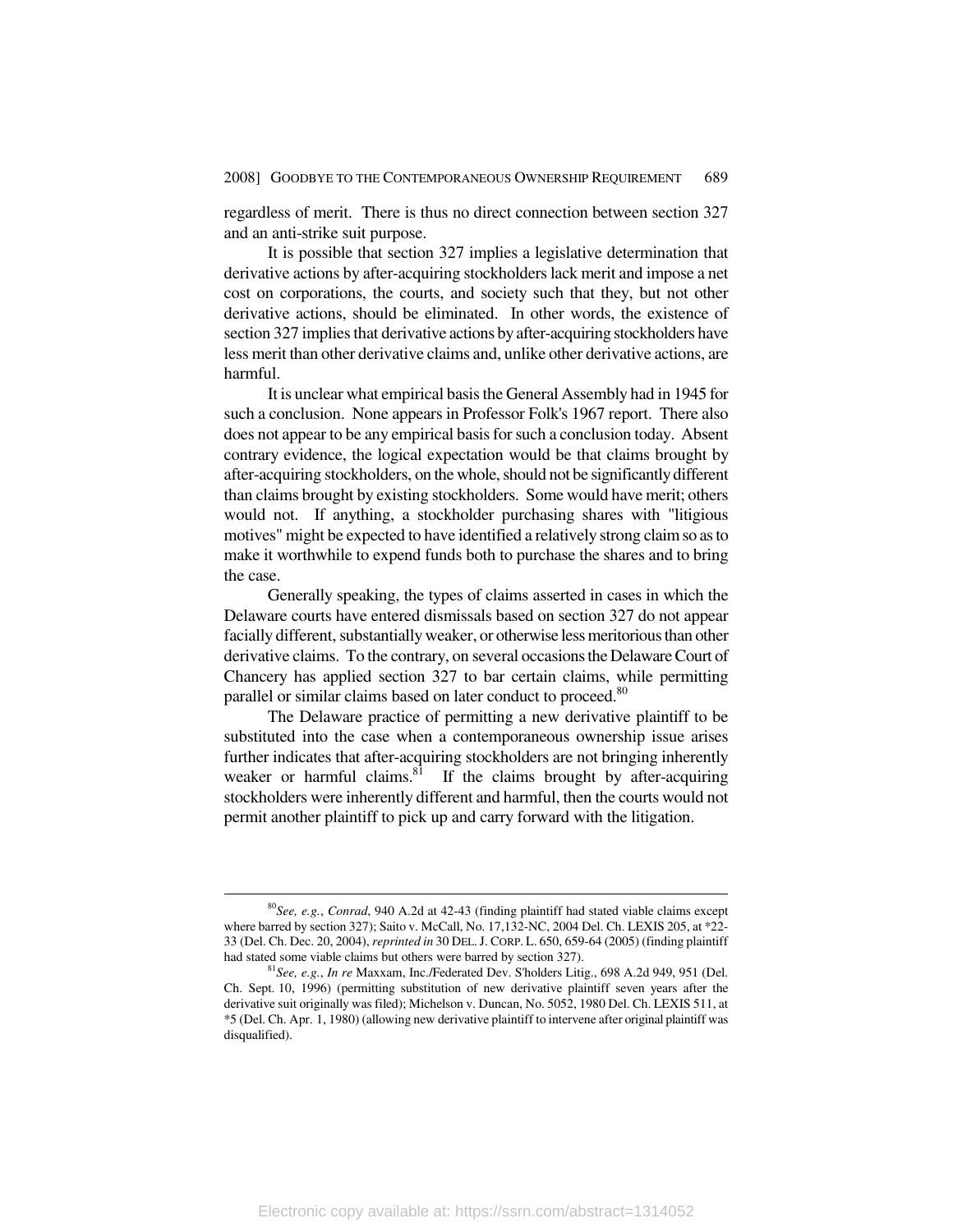regardless of merit. There is thus no direct connection between section 327 and an anti-strike suit purpose.

It is possible that section 327 implies a legislative determination that derivative actions by after-acquiring stockholders lack merit and impose a net cost on corporations, the courts, and society such that they, but not other derivative actions, should be eliminated. In other words, the existence of section 327 implies that derivative actions by after-acquiring stockholders have less merit than other derivative claims and, unlike other derivative actions, are harmful.

It is unclear what empirical basis the General Assembly had in 1945 for such a conclusion. None appears in Professor Folk's 1967 report. There also does not appear to be any empirical basis for such a conclusion today. Absent contrary evidence, the logical expectation would be that claims brought by after-acquiring stockholders, on the whole, should not be significantly different than claims brought by existing stockholders. Some would have merit; others would not. If anything, a stockholder purchasing shares with "litigious motives" might be expected to have identified a relatively strong claim so as to make it worthwhile to expend funds both to purchase the shares and to bring the case.

Generally speaking, the types of claims asserted in cases in which the Delaware courts have entered dismissals based on section 327 do not appear facially different, substantially weaker, or otherwise less meritorious than other derivative claims. To the contrary, on several occasions the Delaware Court of Chancery has applied section 327 to bar certain claims, while permitting parallel or similar claims based on later conduct to proceed.<sup>80</sup>

The Delaware practice of permitting a new derivative plaintiff to be substituted into the case when a contemporaneous ownership issue arises further indicates that after-acquiring stockholders are not bringing inherently weaker or harmful claims.<sup>81</sup> If the claims brought by after-acquiring stockholders were inherently different and harmful, then the courts would not permit another plaintiff to pick up and carry forward with the litigation.

 <sup>80</sup>*See, e.g.*, *Conrad*, 940 A.2d at 42-43 (finding plaintiff had stated viable claims except where barred by section 327); Saito v. McCall, No. 17,132-NC, 2004 Del. Ch. LEXIS 205, at \*22- 33 (Del. Ch. Dec. 20, 2004), *reprinted in* 30 DEL.J. CORP. L. 650, 659-64 (2005) (finding plaintiff had stated some viable claims but others were barred by section 327). 81*See, e.g.*, *In re* Maxxam, Inc./Federated Dev. S'holders Litig., 698 A.2d 949, 951 (Del.

Ch. Sept. 10, 1996) (permitting substitution of new derivative plaintiff seven years after the derivative suit originally was filed); Michelson v. Duncan, No. 5052, 1980 Del. Ch. LEXIS 511, at \*5 (Del. Ch. Apr. 1, 1980) (allowing new derivative plaintiff to intervene after original plaintiff was disqualified).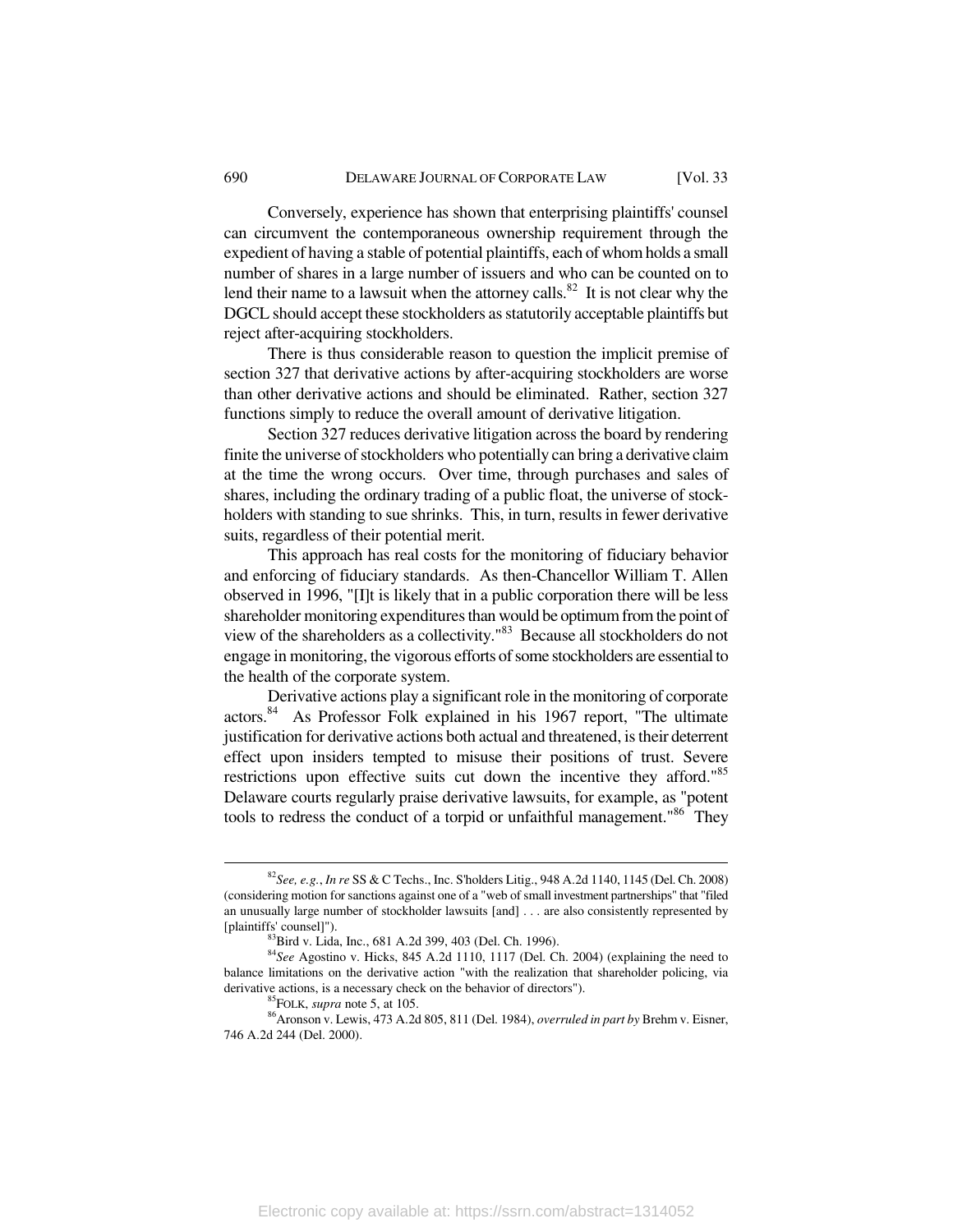Conversely, experience has shown that enterprising plaintiffs' counsel can circumvent the contemporaneous ownership requirement through the expedient of having a stable of potential plaintiffs, each of whom holds a small number of shares in a large number of issuers and who can be counted on to lend their name to a lawsuit when the attorney calls. $82$  It is not clear why the DGCL should accept these stockholders as statutorily acceptable plaintiffs but reject after-acquiring stockholders.

There is thus considerable reason to question the implicit premise of section 327 that derivative actions by after-acquiring stockholders are worse than other derivative actions and should be eliminated. Rather, section 327 functions simply to reduce the overall amount of derivative litigation.

Section 327 reduces derivative litigation across the board by rendering finite the universe of stockholders who potentially can bring a derivative claim at the time the wrong occurs. Over time, through purchases and sales of shares, including the ordinary trading of a public float, the universe of stockholders with standing to sue shrinks. This, in turn, results in fewer derivative suits, regardless of their potential merit.

This approach has real costs for the monitoring of fiduciary behavior and enforcing of fiduciary standards. As then-Chancellor William T. Allen observed in 1996, "[I]t is likely that in a public corporation there will be less shareholder monitoring expenditures than would be optimum from the point of view of the shareholders as a collectivity."83 Because all stockholders do not engage in monitoring, the vigorous efforts of some stockholders are essential to the health of the corporate system.

Derivative actions play a significant role in the monitoring of corporate actors.84 As Professor Folk explained in his 1967 report, "The ultimate justification for derivative actions both actual and threatened, is their deterrent effect upon insiders tempted to misuse their positions of trust. Severe restrictions upon effective suits cut down the incentive they afford."<sup>85</sup> Delaware courts regularly praise derivative lawsuits, for example, as "potent tools to redress the conduct of a torpid or unfaithful management."<sup>86</sup> They

 <sup>82</sup>*See, e.g.*, *In re* SS & C Techs., Inc. S'holders Litig., 948 A.2d 1140, 1145 (Del. Ch. 2008) (considering motion for sanctions against one of a "web of small investment partnerships" that "filed an unusually large number of stockholder lawsuits [and] . . . are also consistently represented by [plaintiffs' counsel]"). 83Bird v. Lida, Inc., 681 A.2d 399, 403 (Del. Ch. 1996).

<sup>84</sup>*See* Agostino v. Hicks, 845 A.2d 1110, 1117 (Del. Ch. 2004) (explaining the need to balance limitations on the derivative action "with the realization that shareholder policing, via derivative actions, is a necessary check on the behavior of directors").<br><sup>85</sup>FOLK, *supra* note 5, at 105.<br><sup>86</sup>Aronson v. Lewis, 473 A.2d 805, 811 (Del. 1984), *overruled in part by* Brehm v. Eisner,

<sup>746</sup> A.2d 244 (Del. 2000).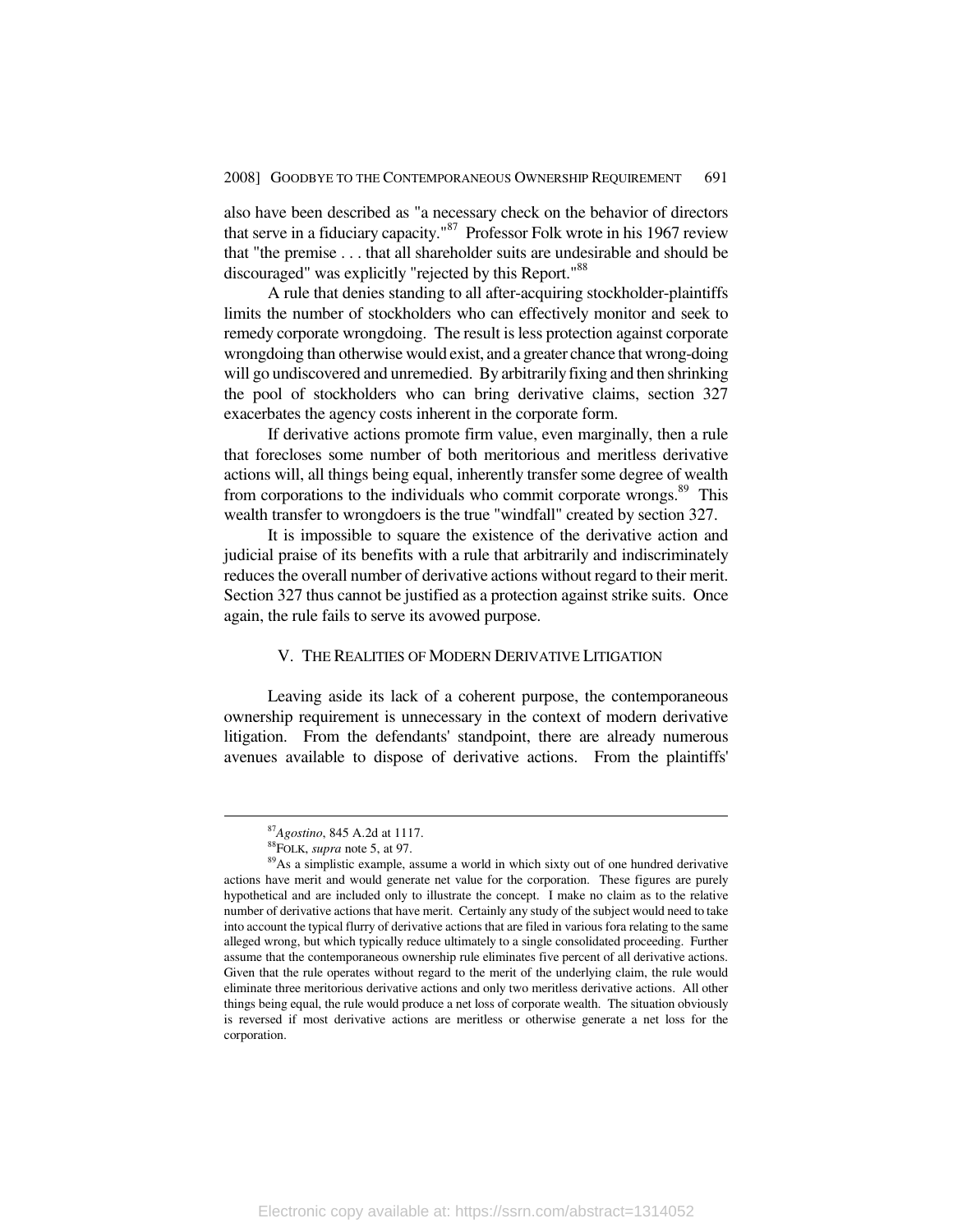also have been described as "a necessary check on the behavior of directors that serve in a fiduciary capacity."87 Professor Folk wrote in his 1967 review that "the premise . . . that all shareholder suits are undesirable and should be discouraged" was explicitly "rejected by this Report."<sup>88</sup>

A rule that denies standing to all after-acquiring stockholder-plaintiffs limits the number of stockholders who can effectively monitor and seek to remedy corporate wrongdoing. The result is less protection against corporate wrongdoing than otherwise would exist, and a greater chance that wrong-doing will go undiscovered and unremedied. By arbitrarily fixing and then shrinking the pool of stockholders who can bring derivative claims, section 327 exacerbates the agency costs inherent in the corporate form.

If derivative actions promote firm value, even marginally, then a rule that forecloses some number of both meritorious and meritless derivative actions will, all things being equal, inherently transfer some degree of wealth from corporations to the individuals who commit corporate wrongs.<sup>89</sup> This wealth transfer to wrongdoers is the true "windfall" created by section 327.

It is impossible to square the existence of the derivative action and judicial praise of its benefits with a rule that arbitrarily and indiscriminately reduces the overall number of derivative actions without regard to their merit. Section 327 thus cannot be justified as a protection against strike suits. Once again, the rule fails to serve its avowed purpose.

#### V. THE REALITIES OF MODERN DERIVATIVE LITIGATION

Leaving aside its lack of a coherent purpose, the contemporaneous ownership requirement is unnecessary in the context of modern derivative litigation. From the defendants' standpoint, there are already numerous avenues available to dispose of derivative actions. From the plaintiffs'

<sup>&</sup>lt;sup>87</sup>Agostino, 845 A.2d at 1117.<br><sup>88</sup>FOLK, *supra* note 5, at 97.<br><sup>89</sup>As a simplistic example, assume a world in which sixty out of one hundred derivative actions have merit and would generate net value for the corporation. These figures are purely hypothetical and are included only to illustrate the concept. I make no claim as to the relative number of derivative actions that have merit. Certainly any study of the subject would need to take into account the typical flurry of derivative actions that are filed in various fora relating to the same alleged wrong, but which typically reduce ultimately to a single consolidated proceeding. Further assume that the contemporaneous ownership rule eliminates five percent of all derivative actions. Given that the rule operates without regard to the merit of the underlying claim, the rule would eliminate three meritorious derivative actions and only two meritless derivative actions. All other things being equal, the rule would produce a net loss of corporate wealth. The situation obviously is reversed if most derivative actions are meritless or otherwise generate a net loss for the corporation.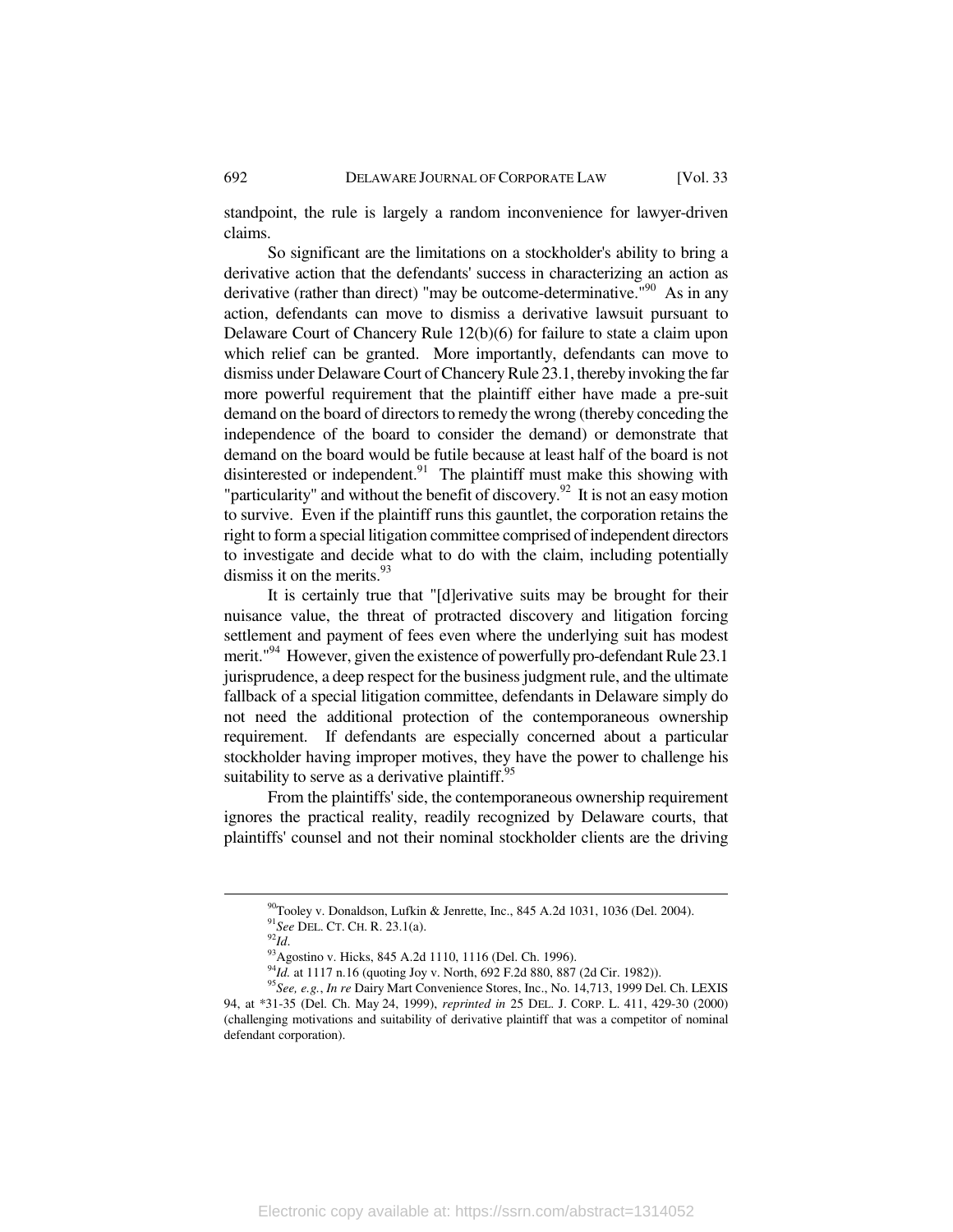standpoint, the rule is largely a random inconvenience for lawyer-driven claims.

So significant are the limitations on a stockholder's ability to bring a derivative action that the defendants' success in characterizing an action as derivative (rather than direct) "may be outcome-determinative."<sup>90</sup> As in any action, defendants can move to dismiss a derivative lawsuit pursuant to Delaware Court of Chancery Rule 12(b)(6) for failure to state a claim upon which relief can be granted. More importantly, defendants can move to dismiss under Delaware Court of Chancery Rule 23.1, thereby invoking the far more powerful requirement that the plaintiff either have made a pre-suit demand on the board of directors to remedy the wrong (thereby conceding the independence of the board to consider the demand) or demonstrate that demand on the board would be futile because at least half of the board is not disinterested or independent.<sup>91</sup> The plaintiff must make this showing with "particularity" and without the benefit of discovery.<sup>92</sup> It is not an easy motion to survive. Even if the plaintiff runs this gauntlet, the corporation retains the right to form a special litigation committee comprised of independent directors to investigate and decide what to do with the claim, including potentially dismiss it on the merits.<sup>93</sup>

It is certainly true that "[d]erivative suits may be brought for their nuisance value, the threat of protracted discovery and litigation forcing settlement and payment of fees even where the underlying suit has modest merit."<sup>94</sup> However, given the existence of powerfully pro-defendant Rule 23.1 jurisprudence, a deep respect for the business judgment rule, and the ultimate fallback of a special litigation committee, defendants in Delaware simply do not need the additional protection of the contemporaneous ownership requirement. If defendants are especially concerned about a particular stockholder having improper motives, they have the power to challenge his suitability to serve as a derivative plaintiff. $95$ 

From the plaintiffs' side, the contemporaneous ownership requirement ignores the practical reality, readily recognized by Delaware courts, that plaintiffs' counsel and not their nominal stockholder clients are the driving

<sup>&</sup>lt;sup>90</sup>Tooley v. Donaldson, Lufkin & Jenrette, Inc., 845 A.2d 1031, 1036 (Del. 2004).<br><sup>91</sup>See DEL. CT. CH. R. 23.1(a).

<sup>&</sup>lt;sup>92</sup>*Id.* 34.4.88 92*Jd.* 92*Id.* 93.4.805 A.2d 1110, 1116 (Del. Ch. 1996).<br><sup>94</sup>*Id.* at 1117 n.16 (quoting Joy v. North, 692 F.2d 880, 887 (2d Cir. 1982)).

<sup>&</sup>lt;sup>95</sup>See, e.g., *In re Dairy Mart Convenience Stores*, Inc., No. 14,713, 1999 Del. Ch. LEXIS 94, at \*31-35 (Del. Ch. May 24, 1999), *reprinted in* 25 DEL. J. CORP. L. 411, 429-30 (2000) (challenging motivations and suitability of derivative plaintiff that was a competitor of nominal defendant corporation).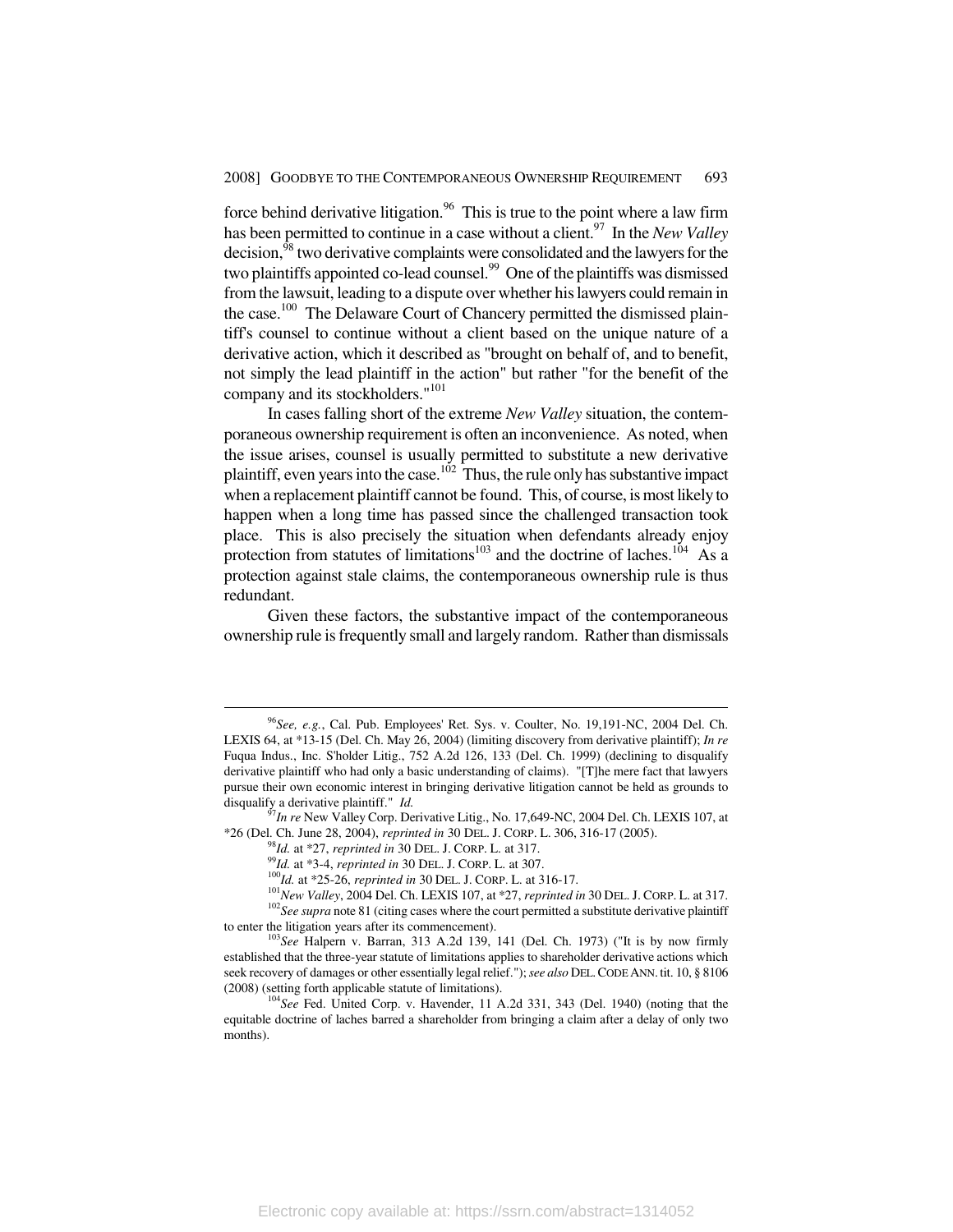force behind derivative litigation.<sup>96</sup> This is true to the point where a law firm has been permitted to continue in a case without a client.97 In the *New Valley* decision,<sup>98</sup> two derivative complaints were consolidated and the lawyers for the two plaintiffs appointed co-lead counsel.<sup>99</sup> One of the plaintiffs was dismissed from the lawsuit, leading to a dispute over whether his lawyers could remain in the case.<sup>100</sup> The Delaware Court of Chancery permitted the dismissed plaintiff's counsel to continue without a client based on the unique nature of a derivative action, which it described as "brought on behalf of, and to benefit, not simply the lead plaintiff in the action" but rather "for the benefit of the company and its stockholders."<sup>101</sup>

In cases falling short of the extreme *New Valley* situation, the contemporaneous ownership requirement is often an inconvenience. As noted, when the issue arises, counsel is usually permitted to substitute a new derivative plaintiff, even years into the case.<sup>102</sup> Thus, the rule only has substantive impact when a replacement plaintiff cannot be found. This, of course, is most likely to happen when a long time has passed since the challenged transaction took place. This is also precisely the situation when defendants already enjoy protection from statutes of limitations<sup>103</sup> and the doctrine of laches.<sup>104</sup> As a protection against stale claims, the contemporaneous ownership rule is thus redundant.

Given these factors, the substantive impact of the contemporaneous ownership rule is frequently small and largely random. Rather than dismissals

 <sup>96</sup>*See, e.g.*, Cal. Pub. Employees' Ret. Sys. v. Coulter, No. 19,191-NC, 2004 Del. Ch. LEXIS 64, at \*13-15 (Del. Ch. May 26, 2004) (limiting discovery from derivative plaintiff); *In re*  Fuqua Indus., Inc. S'holder Litig., 752 A.2d 126, 133 (Del. Ch. 1999) (declining to disqualify derivative plaintiff who had only a basic understanding of claims). "[T]he mere fact that lawyers pursue their own economic interest in bringing derivative litigation cannot be held as grounds to disqualify a derivative plaintiff." *Id.* <sup>97</sup>*In re* New Valley Corp. Derivative Litig., No. 17,649-NC, 2004 Del. Ch. LEXIS 107, at

<sup>\*26 (</sup>Del. Ch. June 28, 2004), *reprinted in* 30 DEL. J. CORP. L. 306, 316-17 (2005).<br><sup>98</sup>*Id.* at \*27, *reprinted in* 30 DEL. J. CORP. L. at 317.<br><sup>99</sup>*Id.* at \*3-4, *reprinted in* 30 DEL. J. CORP. L. at 307.<br><sup>100</sup>*Id.* at

to enter the litigation years after its commencement). 103*See* Halpern v. Barran, 313 A.2d 139, 141 (Del. Ch. 1973) ("It is by now firmly established that the three-year statute of limitations applies to shareholder derivative actions which seek recovery of damages or other essentially legal relief."); *see also* DEL.CODE ANN. tit. 10, § 8106 (2008) (setting forth applicable statute of limitations). 104*See* Fed. United Corp. v. Havender, 11 A.2d 331, 343 (Del. 1940) (noting that the

equitable doctrine of laches barred a shareholder from bringing a claim after a delay of only two months).